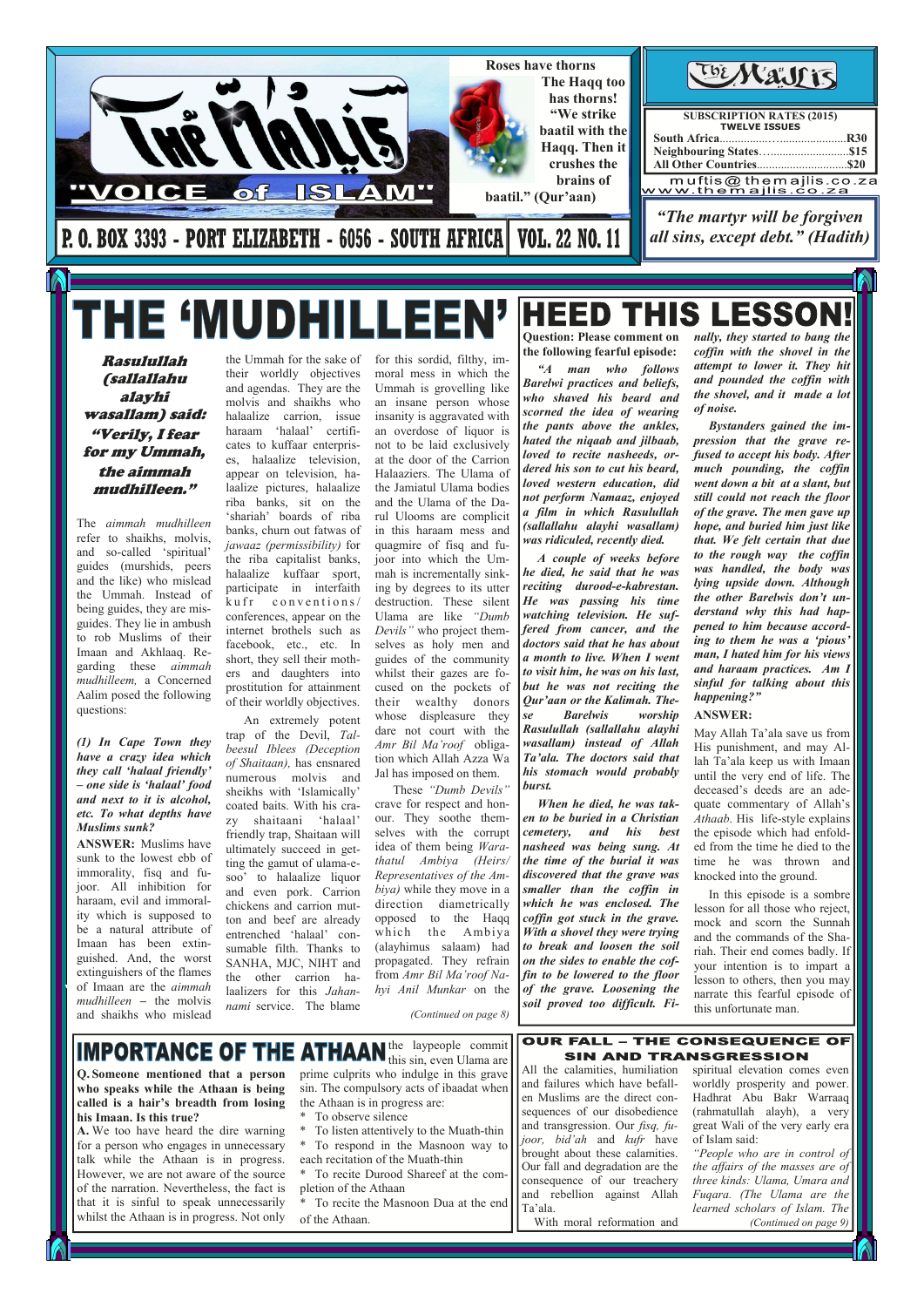Rasulullah (sallallahu alayhi wasallam) said: "Verily, I fear for my Ummah, the aimmah mudhilleen."

The *aimmah mudhilleen* refer to shaikhs, molvis, and so-called 'spiritual' guides (murshids, peers and the like) who mislead the Ummah. Instead of being guides, they are misguides. They lie in ambush to rob Muslims of their Imaan and Akhlaaq. Regarding these *aimmah mudhilleem,* a Concerned Aalim posed the following questions:

#### *(1) In Cape Town they have a crazy idea which they call 'halaal friendly' – one side is 'halaal' food and next to it is alcohol, etc. To what depths have Muslims sunk?*

**ANSWER:** Muslims have sunk to the lowest ebb of immorality, fisq and fujoor. All inhibition for haraam, evil and immorality which is supposed to be a natural attribute of Imaan has been extinguished. And, the worst extinguishers of the flames of Imaan are the *aimmah mudhilleen –* the molvis and shaikhs who mislead

the Ummah for the sake of their worldly objectives and agendas. They are the molvis and shaikhs who halaalize carrion, issue haraam 'halaal' certificates to kuffaar enterprises, halaalize television, appear on television, halaalize pictures, halaalize riba banks, sit on the 'shariah' boards of riba banks, churn out fatwas of *jawaaz (permissibility)* for the riba capitalist banks, halaalize kuffaar sport, participate in interfaith  $k$ u fr conventions/ conferences, appear on the internet brothels such as facebook, etc., etc. In short, they sell their mothers and daughters into prostitution for attainment of their worldly objectives.



# THE 'MUDHILLEI

 An extremely potent trap of the Devil, *Talbeesul Iblees (Deception of Shaitaan),* has ensnared numerous molvis and sheikhs with 'Islamically' coated baits. With his crazy shaitaani 'halaal' friendly trap, Shaitaan will ultimately succeed in getting the gamut of ulama-esoo' to halaalize liquor and even pork. Carrion chickens and carrion mutton and beef are already entrenched 'halaal' consumable filth. Thanks to SANHA, MJC, NIHT and the other carrion halaalizers for this *Jahannami* service. The blame *hyi Anil Munkar* on the *(Continued on page 8)* 

ESSO ЕІ Е  $\blacksquare$ **Question: Please comment on the following fearful episode:** 

for this sordid, filthy, immoral mess in which the Ummah is grovelling like an insane person whose insanity is aggravated with an overdose of liquor is not to be laid exclusively at the door of the Carrion Halaaziers. The Ulama of the Jamiatul Ulama bodies and the Ulama of the Darul Ulooms are complicit in this haraam mess and quagmire of fisq and fujoor into which the Ummah is incrementally sinking by degrees to its utter destruction. These silent Ulama are like *"Dumb Devils"* who project themselves as holy men and guides of the community whilst their gazes are focused on the pockets of their wealthy donors whose displeasure they dare not court with the *Amr Bil Ma'roof* obligation which Allah Azza Wa Jal has imposed on them.

 These *"Dumb Devils"* crave for respect and honour. They soothe themselves with the corrupt idea of them being *Warathatul Ambiya (Heirs/ Representatives of the Ambiya)* while they move in a direction diametrically opposed to the Haqq which the Ambiya (alayhimus salaam) had propagated. They refrain from *Amr Bil Ma'roof Na-*

**Q. Someone mentioned that a person who speaks while the Athaan is being called is a hair's breadth from losing his Imaan. Is this true?** 

May Allah Ta'ala save us from His punishment, and may Allah Ta'ala keep us with Imaan until the very end of life. The deceased's deeds are an adequate commentary of Allah's *Athaab*. His life-style explains the episode which had enfolded from the time he died to the time he was thrown and knocked into the ground.

**A.** We too have heard the dire warning for a person who engages in unnecessary talk while the Athaan is in progress. However, we are not aware of the source of the narration. Nevertheless, the fact is that it is sinful to speak unnecessarily whilst the Athaan is in progress. Not only the laypeople commit

this sin, even Ulama are prime culprits who indulge in this grave sin. The compulsory acts of ibaadat when the Athaan is in progress are:

\* To observe silence

\* To listen attentively to the Muath-thin \* To respond in the Masnoon way to each recitation of the Muath-thin \* To recite Durood Shareef at the com-

pletion of the Athaan

\* To recite the Masnoon Dua at the end of the Athaan.

### **OUR FALL - THE CONSEQUENCE OF SIN AND TRANSGRESSION**

All the calamities, humiliation and failures which have befallen Muslims are the direct consequences of our disobedience and transgression. Our *fisq, fujoor, bid'ah* and *kufr* have brought about these calamities. Our fall and degradation are the consequence of our treachery and rebellion against Allah Ta'ala.

With moral reformation and

spiritual elevation comes even worldly prosperity and power. Hadhrat Abu Bakr Warraaq (rahmatullah alayh), a very great Wali of the very early era of Islam said:

*"People who are in control of the affairs of the masses are of three kinds: Ulama, Umara and Fuqara. (The Ulama are the learned scholars of Islam. The* 

*(Continued on page 9)* 

 *"A man who follows Barelwi practices and beliefs, who shaved his beard and scorned the idea of wearing the pants above the ankles, hated the niqaab and jilbaab, loved to recite nasheeds, ordered his son to cut his beard, loved western education, did not perform Namaaz, enjoyed a film in which Rasulullah (sallallahu alayhi wasallam) was ridiculed, recently died.* 

 *A couple of weeks before he died, he said that he was reciting durood-e-kabrestan. He was passing his time watching television. He suffered from cancer, and the doctors said that he has about a month to live. When I went to visit him, he was on his last, but he was not reciting the Qur'aan or the Kalimah. These Barelwis worship Rasulullah (sallallahu alayhi wasallam) instead of Allah Ta'ala. The doctors said that his stomach would probably burst.* 

 *When he died, he was taken to be buried in a Christian cemetery, and his best nasheed was being sung. At the time of the burial it was discovered that the grave was smaller than the coffin in which he was enclosed. The coffin got stuck in the grave. With a shovel they were trying to break and loosen the soil on the sides to enable the coffin to be lowered to the floor* 

*of the grave. Loosening the soil proved too difficult. Fi-* *nally, they started to bang the coffin with the shovel in the attempt to lower it. They hit and pounded the coffin with the shovel, and it made a lot of noise.* 

 *Bystanders gained the impression that the grave refused to accept his body. After much pounding, the coffin went down a bit at a slant, but still could not reach the floor of the grave. The men gave up hope, and buried him just like that. We felt certain that due to the rough way the coffin was handled, the body was lying upside down. Although the other Barelwis don't understand why this had happened to him because according to them he was a 'pious' man, I hated him for his views and haraam practices. Am I sinful for talking about this happening?"* 

#### **ANSWER:**

 In this episode is a sombre lesson for all those who reject, mock and scorn the Sunnah and the commands of the Shariah. Their end comes badly. If your intention is to impart a lesson to others, then you may

narrate this fearful episode of this unfortunate man.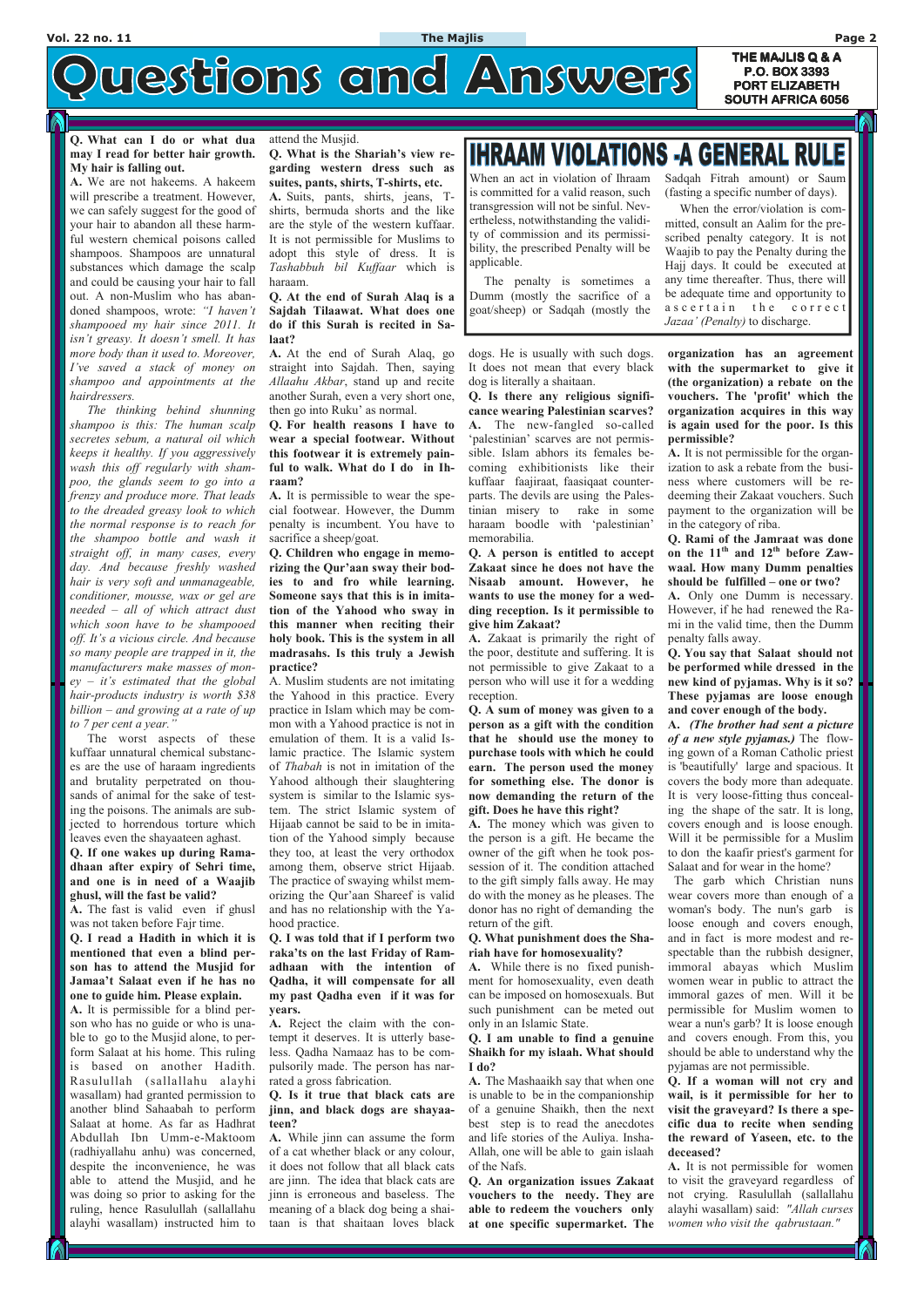### **Q. What can I do or what dua may I read for better hair growth. My hair is falling out.**

**A.** We are not hakeems. A hakeem will prescribe a treatment. However, we can safely suggest for the good of your hair to abandon all these harmful western chemical poisons called shampoos. Shampoos are unnatural substances which damage the scalp and could be causing your hair to fall out. A non-Muslim who has abandoned shampoos, wrote: *"I haven't shampooed my hair since 2011. It isn't greasy. It doesn't smell. It has more body than it used to. Moreover, I've saved a stack of money on shampoo and appointments at the hairdressers.* 

 *The thinking behind shunning shampoo is this: The human scalp secretes sebum, a natural oil which keeps it healthy. If you aggressively wash this off regularly with shampoo, the glands seem to go into a frenzy and produce more. That leads to the dreaded greasy look to which the normal response is to reach for the shampoo bottle and wash it straight off, in many cases, every day. And because freshly washed hair is very soft and unmanageable, conditioner, mousse, wax or gel are needed – all of which attract dust which soon have to be shampooed off. It's a vicious circle. And because so many people are trapped in it, the manufacturers make masses of money – it's estimated that the global hair-products industry is worth \$38 billion – and growing at a rate of up to 7 per cent a year."*

 The worst aspects of these kuffaar unnatural chemical substances are the use of haraam ingredients and brutality perpetrated on thousands of animal for the sake of testing the poisons. The animals are subjected to horrendous torture which leaves even the shayaateen aghast.

**Q. If one wakes up during Ramadhaan after expiry of Sehri time, and one is in need of a Waajib ghusl, will the fast be valid?** 

**A.** The fast is valid even if ghusl was not taken before Fajr time.

**Q. I read a Hadith in which it is mentioned that even a blind person has to attend the Musjid for Jamaa't Salaat even if he has no** 

**one to guide him. Please explain. A.** It is permissible for a blind person who has no guide or who is unable to go to the Musjid alone, to perform Salaat at his home. This ruling is based on another Hadith. Rasulullah (sallallahu alayhi wasallam) had granted permission to another blind Sahaabah to perform Salaat at home. As far as Hadhrat Abdullah Ibn Umm-e-Maktoom (radhiyallahu anhu) was concerned, despite the inconvenience, he was able to attend the Musjid, and he was doing so prior to asking for the ruling, hence Rasulullah (sallallahu alayhi wasallam) instructed him to

#### attend the Musjid.

**Q. What is the Shariah's view regarding western dress such as suites, pants, shirts, T-shirts, etc.** 

**A.** Suits, pants, shirts, jeans, Tshirts, bermuda shorts and the like are the style of the western kuffaar. It is not permissible for Muslims to adopt this style of dress. It is *Tashabbuh bil Kuffaar* which is haraam.

#### **Q. At the end of Surah Alaq is a Sajdah Tilaawat. What does one do if this Surah is recited in Salaat?**

**A.** At the end of Surah Alaq, go straight into Sajdah. Then, saying *Allaahu Akbar*, stand up and recite another Surah, even a very short one, then go into Ruku' as normal.

**Q. For health reasons I have to wear a special footwear. Without this footwear it is extremely painful to walk. What do I do in Ihraam?** 

**A.** It is permissible to wear the special footwear. However, the Dumm penalty is incumbent. You have to sacrifice a sheep/goat.

**Q. Children who engage in memorizing the Qur'aan sway their bodies to and fro while learning. Someone says that this is in imitation of the Yahood who sway in this manner when reciting their holy book. This is the system in all madrasahs. Is this truly a Jewish practice?** 

A. Muslim students are not imitating the Yahood in this practice. Every practice in Islam which may be common with a Yahood practice is not in emulation of them. It is a valid Islamic practice. The Islamic system of *Thabah* is not in imitation of the Yahood although their slaughtering system is similar to the Islamic system. The strict Islamic system of Hijaab cannot be said to be in imitation of the Yahood simply because they too, at least the very orthodox among them, observe strict Hijaab. The practice of swaying whilst memorizing the Qur'aan Shareef is valid and has no relationship with the Yahood practice.

**Q. I was told that if I perform two raka'ts on the last Friday of Ramadhaan with the intention of Qadha, it will compensate for all** 

# **IHRAAM VIOLATIONS -A GENERAL RULE**

**my past Qadha even if it was for years.** 

 **THE MAJLIS Q & A A P.O. BOX 3393 PORT ELIZABETH PORT ELIZABETH SOUTH AFRICA 6056** 

# uestions and Answers

**A.** Reject the claim with the contempt it deserves. It is utterly baseless. Qadha Namaaz has to be compulsorily made. The person has narrated a gross fabrication.

**Q. Is it true that black cats are jinn, and black dogs are shayaateen?** 

**A.** While jinn can assume the form of a cat whether black or any colour, it does not follow that all black cats are jinn. The idea that black cats are jinn is erroneous and baseless. The meaning of a black dog being a shaitaan is that shaitaan loves black

dogs. He is usually with such dogs. It does not mean that every black dog is literally a shaitaan.

**Q. Is there any religious significance wearing Palestinian scarves? A.** The new-fangled so-called 'palestinian' scarves are not permissible. Islam abhors its females becoming exhibitionists like their kuffaar faajiraat, faasiqaat counterparts. The devils are using the Palestinian misery to rake in some haraam boodle with 'palestinian' memorabilia.

**Q. A person is entitled to accept Zakaat since he does not have the Nisaab amount. However, he wants to use the money for a wedding reception. Is it permissible to give him Zakaat?** 

**A.** Zakaat is primarily the right of the poor, destitute and suffering. It is not permissible to give Zakaat to a person who will use it for a wedding reception.

**Q. A sum of money was given to a person as a gift with the condition that he should use the money to purchase tools with which he could earn. The person used the money for something else. The donor is now demanding the return of the gift. Does he have this right?** 

**A.** The money which was given to the person is a gift. He became the owner of the gift when he took possession of it. The condition attached to the gift simply falls away. He may do with the money as he pleases. The donor has no right of demanding the return of the gift.

#### **Q. What punishment does the Shariah have for homosexuality?**

**A.** While there is no fixed punishment for homosexuality, even death

can be imposed on homosexuals. But such punishment can be meted out only in an Islamic State.

**Q. I am unable to find a genuine Shaikh for my islaah. What should I do?** 

**A.** The Mashaaikh say that when one is unable to be in the companionship of a genuine Shaikh, then the next best step is to read the anecdotes and life stories of the Auliya. Insha-Allah, one will be able to gain islaah of the Nafs.

**Q. An organization issues Zakaat vouchers to the needy. They are able to redeem the vouchers only at one specific supermarket. The**  **organization has an agreement with the supermarket to give it (the organization) a rebate on the vouchers. The 'profit' which the organization acquires in this way is again used for the poor. Is this permissible?** 

**A.** It is not permissible for the organization to ask a rebate from the business where customers will be redeeming their Zakaat vouchers. Such payment to the organization will be in the category of riba.

**Q. Rami of the Jamraat was done on the 11th and 12th before Zawwaal. How many Dumm penalties should be fulfilled – one or two?** 

**A.** Only one Dumm is necessary. However, if he had renewed the Rami in the valid time, then the Dumm penalty falls away.

**Q. You say that Salaat should not be performed while dressed in the new kind of pyjamas. Why is it so? These pyjamas are loose enough and cover enough of the body.** 

**A.** *(The brother had sent a picture of a new style pyjamas.)* The flowing gown of a Roman Catholic priest is 'beautifully' large and spacious. It covers the body more than adequate. It is very loose-fitting thus concealing the shape of the satr. It is long, covers enough and is loose enough. Will it be permissible for a Muslim to don the kaafir priest's garment for Salaat and for wear in the home?

 The garb which Christian nuns wear covers more than enough of a woman's body. The nun's garb is loose enough and covers enough, and in fact is more modest and respectable than the rubbish designer, immoral abayas which Muslim women wear in public to attract the immoral gazes of men. Will it be permissible for Muslim women to wear a nun's garb? It is loose enough and covers enough. From this, you should be able to understand why the pyjamas are not permissible. **Q. If a woman will not cry and wail, is it permissible for her to visit the graveyard? Is there a specific dua to recite when sending the reward of Yaseen, etc. to the deceased? A.** It is not permissible for women to visit the graveyard regardless of not crying. Rasulullah (sallallahu alayhi wasallam) said: *"Allah curses women who visit the qabrustaan."*

When an act in violation of Ihraam is committed for a valid reason, such transgression will not be sinful. Nevertheless, notwithstanding the validity of commission and its permissibility, the prescribed Penalty will be applicable.

 The penalty is sometimes a Dumm (mostly the sacrifice of a goat/sheep) or Sadqah (mostly the

Sadqah Fitrah amount) or Saum (fasting a specific number of days).

 When the error/violation is committed, consult an Aalim for the prescribed penalty category. It is not Waajib to pay the Penalty during the Hajj days. It could be executed at any time thereafter. Thus, there will be adequate time and opportunity to a s c e r t a in the correct *Jazaa' (Penalty)* to discharge.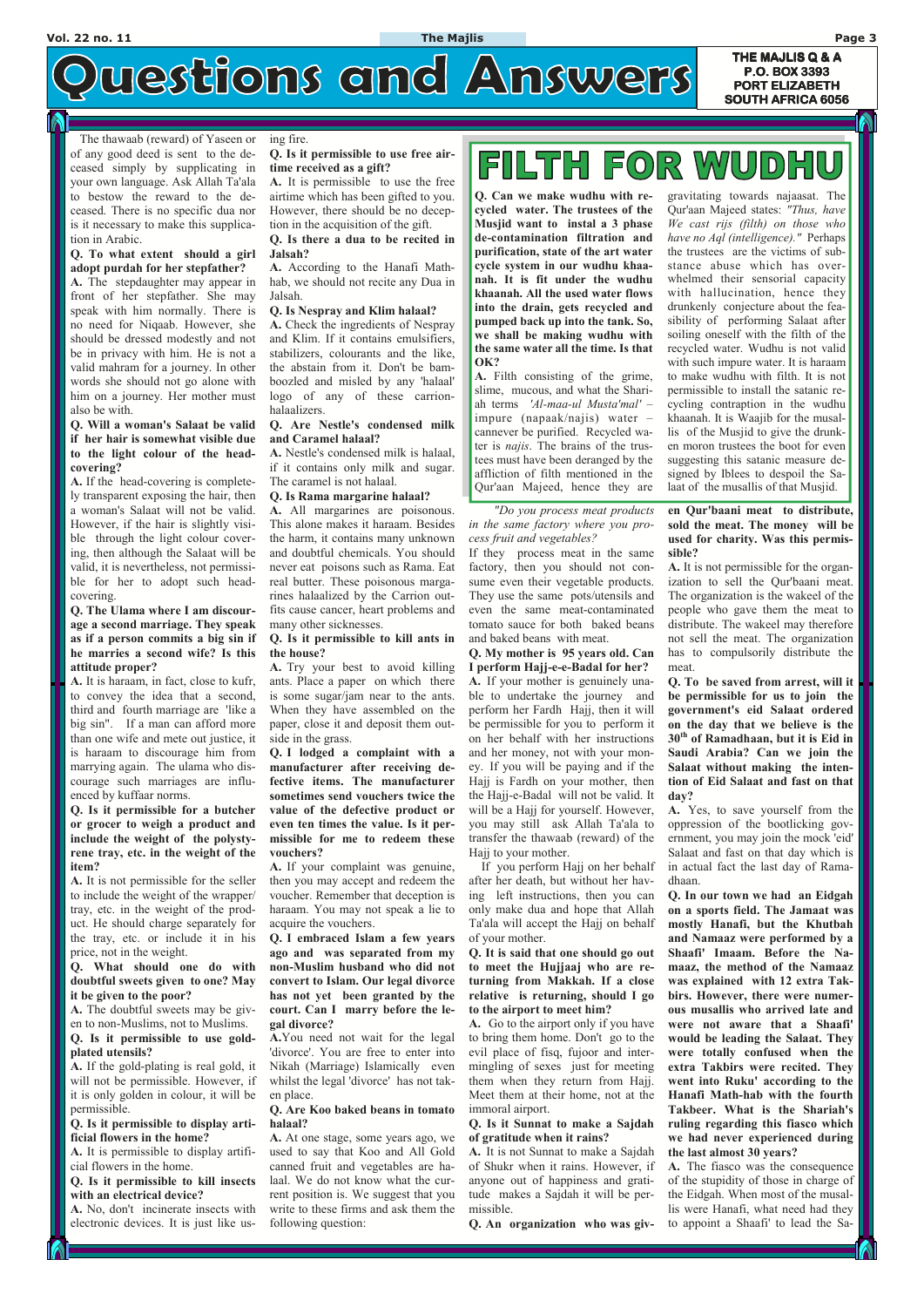# uestions and Answers

**THE MAJLIS Q & A P.O. BOX 3393 PORT ELIZABETH PORT ELIZABETH SOUTH AFRICA 6056** 

of any good deed is sent to the deceased simply by supplicating in your own language. Ask Allah Ta'ala to bestow the reward to the deceased. There is no specific dua nor is it necessary to make this supplication in Arabic.

#### **Q. To what extent should a girl adopt purdah for her stepfather?**

**A.** The stepdaughter may appear in front of her stepfather. She may speak with him normally. There is no need for Niqaab. However, she should be dressed modestly and not be in privacy with him. He is not a valid mahram for a journey. In other words she should not go alone with him on a journey. Her mother must also be with.

**Q. Will a woman's Salaat be valid if her hair is somewhat visible due to the light colour of the headcovering?** 

**A.** If the head-covering is completely transparent exposing the hair, then a woman's Salaat will not be valid. However, if the hair is slightly visible through the light colour covering, then although the Salaat will be valid, it is nevertheless, not permissible for her to adopt such headcovering.

**Q. The Ulama where I am discourage a second marriage. They speak as if a person commits a big sin if he marries a second wife? Is this attitude proper?** 

 The thawaab (reward) of Yaseen or ing fire.

**A.** It is haraam, in fact, close to kufr, to convey the idea that a second, third and fourth marriage are 'like a big sin". If a man can afford more than one wife and mete out justice, it is haraam to discourage him from marrying again. The ulama who discourage such marriages are influenced by kuffaar norms.

**Q. Is it permissible for a butcher or grocer to weigh a product and include the weight of the polystyrene tray, etc. in the weight of the item?** 

**A.** It is not permissible for the seller to include the weight of the wrapper/ tray, etc. in the weight of the product. He should charge separately for the tray, etc. or include it in his price, not in the weight.

**Q. What should one do with doubtful sweets given to one? May** 

### **it be given to the poor?**

**A.** The doubtful sweets may be given to non-Muslims, not to Muslims. **Q. Is it permissible to use goldplated utensils?** 

**A.** If the gold-plating is real gold, it will not be permissible. However, if it is only golden in colour, it will be permissible.

**Q. Is it permissible to display artificial flowers in the home?** 

**A.** It is permissible to display artificial flowers in the home.

**Q. Is it permissible to kill insects with an electrical device?** 

**A.** No, don't incinerate insects with electronic devices. It is just like us**Q. Is it permissible to use free airtime received as a gift?** 

**A.** It is permissible to use the free airtime which has been gifted to you. However, there should be no deception in the acquisition of the gift.

#### **Q. Is there a dua to be recited in Jalsah?**

**A.** According to the Hanafi Mathhab, we should not recite any Dua in Jalsah.

#### **Q. Is Nespray and Klim halaal?**

**A.** Check the ingredients of Nespray and Klim. If it contains emulsifiers, stabilizers, colourants and the like, the abstain from it. Don't be bamboozled and misled by any 'halaal' logo of any of these carrionhalaalizers.

#### **Q. Are Nestle's condensed milk and Caramel halaal?**

**A.** Nestle's condensed milk is halaal, if it contains only milk and sugar. The caramel is not halaal.

#### **Q. Is Rama margarine halaal?**

**A.** All margarines are poisonous. This alone makes it haraam. Besides the harm, it contains many unknown and doubtful chemicals. You should never eat poisons such as Rama. Eat real butter. These poisonous margarines halaalized by the Carrion outfits cause cancer, heart problems and many other sicknesses.

#### **Q. Is it permissible to kill ants in the house?**

**A.** Try your best to avoid killing ants. Place a paper on which there is some sugar/jam near to the ants. When they have assembled on the paper, close it and deposit them outside in the grass.

**Q. I lodged a complaint with a manufacturer after receiving defective items. The manufacturer sometimes send vouchers twice the value of the defective product or even ten times the value. Is it permissible for me to redeem these vouchers?** 

**A.** If your complaint was genuine, then you may accept and redeem the voucher. Remember that deception is haraam. You may not speak a lie to acquire the vouchers.

**Q. I embraced Islam a few years ago and was separated from my non-Muslim husband who did not convert to Islam. Our legal divorce** 

## **FOR WUDHU** FILTH

**has not yet been granted by the court. Can I marry before the legal divorce?** 

**A.**You need not wait for the legal 'divorce'. You are free to enter into Nikah (Marriage) Islamically even whilst the legal 'divorce' has not taken place.

**Q. Are Koo baked beans in tomato halaal?** 

**A.** At one stage, some years ago, we used to say that Koo and All Gold canned fruit and vegetables are halaal. We do not know what the current position is. We suggest that you write to these firms and ask them the following question:

 *"Do you process meat products in the same factory where you process fruit and vegetables?* 

If they process meat in the same factory, then you should not consume even their vegetable products. They use the same pots/utensils and even the same meat-contaminated tomato sauce for both baked beans and baked beans with meat.

#### **Q. My mother is 95 years old. Can I perform Hajj-e-e-Badal for her?**

**A.** If your mother is genuinely unable to undertake the journey and perform her Fardh Hajj, then it will be permissible for you to perform it on her behalf with her instructions and her money, not with your money. If you will be paying and if the Hajj is Fardh on your mother, then the Hajj-e-Badal will not be valid. It will be a Hajj for yourself. However, you may still ask Allah Ta'ala to transfer the thawaab (reward) of the Hajj to your mother.

 If you perform Hajj on her behalf after her death, but without her having left instructions, then you can only make dua and hope that Allah Ta'ala will accept the Hajj on behalf of your mother.

**Q. It is said that one should go out to meet the Hujjaaj who are returning from Makkah. If a close** 

#### **relative is returning, should I go to the airport to meet him?**

**A.** Go to the airport only if you have to bring them home. Don't go to the evil place of fisq, fujoor and intermingling of sexes just for meeting them when they return from Hajj. Meet them at their home, not at the immoral airport.

**Q. Is it Sunnat to make a Sajdah of gratitude when it rains?** 

**A.** It is not Sunnat to make a Sajdah of Shukr when it rains. However, if anyone out of happiness and gratitude makes a Sajdah it will be permissible.

**Q. An organization who was giv-**

**en Qur'baani meat to distribute, sold the meat. The money will be used for charity. Was this permissible?** 

**A.** It is not permissible for the organization to sell the Qur'baani meat. The organization is the wakeel of the people who gave them the meat to distribute. The wakeel may therefore not sell the meat. The organization has to compulsorily distribute the meat.

**Q. To be saved from arrest, will it be permissible for us to join the government's eid Salaat ordered on the day that we believe is the 30th of Ramadhaan, but it is Eid in Saudi Arabia? Can we join the Salaat without making the intention of Eid Salaat and fast on that day?** 

**A.** Yes, to save yourself from the oppression of the bootlicking government, you may join the mock 'eid' Salaat and fast on that day which is in actual fact the last day of Ramadhaan.

**Q. In our town we had an Eidgah on a sports field. The Jamaat was mostly Hanafi, but the Khutbah and Namaaz were performed by a Shaafi' Imaam. Before the Namaaz, the method of the Namaaz was explained with 12 extra Takbirs. However, there were numerous musallis who arrived late and were not aware that a Shaafi' would be leading the Salaat. They were totally confused when the extra Takbirs were recited. They went into Ruku' according to the Hanafi Math-hab with the fourth Takbeer. What is the Shariah's ruling regarding this fiasco which we had never experienced during the last almost 30 years? A.** The fiasco was the consequence of the stupidity of those in charge of the Eidgah. When most of the musallis were Hanafi, what need had they to appoint a Shaafi' to lead the Sa-

**Q. Can we make wudhu with recycled water. The trustees of the Musjid want to instal a 3 phase de-contamination filtration and purification, state of the art water cycle system in our wudhu khaanah. It is fit under the wudhu khaanah. All the used water flows into the drain, gets recycled and pumped back up into the tank. So, we shall be making wudhu with the same water all the time. Is that OK?** 

**A.** Filth consisting of the grime, slime, mucous, and what the Shariah terms *'Al-maa-ul Musta'mal' –*  impure (napaak/najis) water *–*  cannever be purified. Recycled water is *najis*. The brains of the trustees must have been deranged by the affliction of filth mentioned in the Qur'aan Majeed, hence they are

gravitating towards najaasat. The Qur'aan Majeed states: *"Thus, have We cast rijs (filth) on those who have no Aql (intelligence)."* Perhaps the trustees are the victims of substance abuse which has overwhelmed their sensorial capacity with hallucination, hence they drunkenly conjecture about the feasibility of performing Salaat after soiling oneself with the filth of the recycled water. Wudhu is not valid with such impure water. It is haraam to make wudhu with filth. It is not permissible to install the satanic recycling contraption in the wudhu khaanah. It is Waajib for the musallis of the Musjid to give the drunken moron trustees the boot for even suggesting this satanic measure designed by Iblees to despoil the Salaat of the musallis of that Musjid.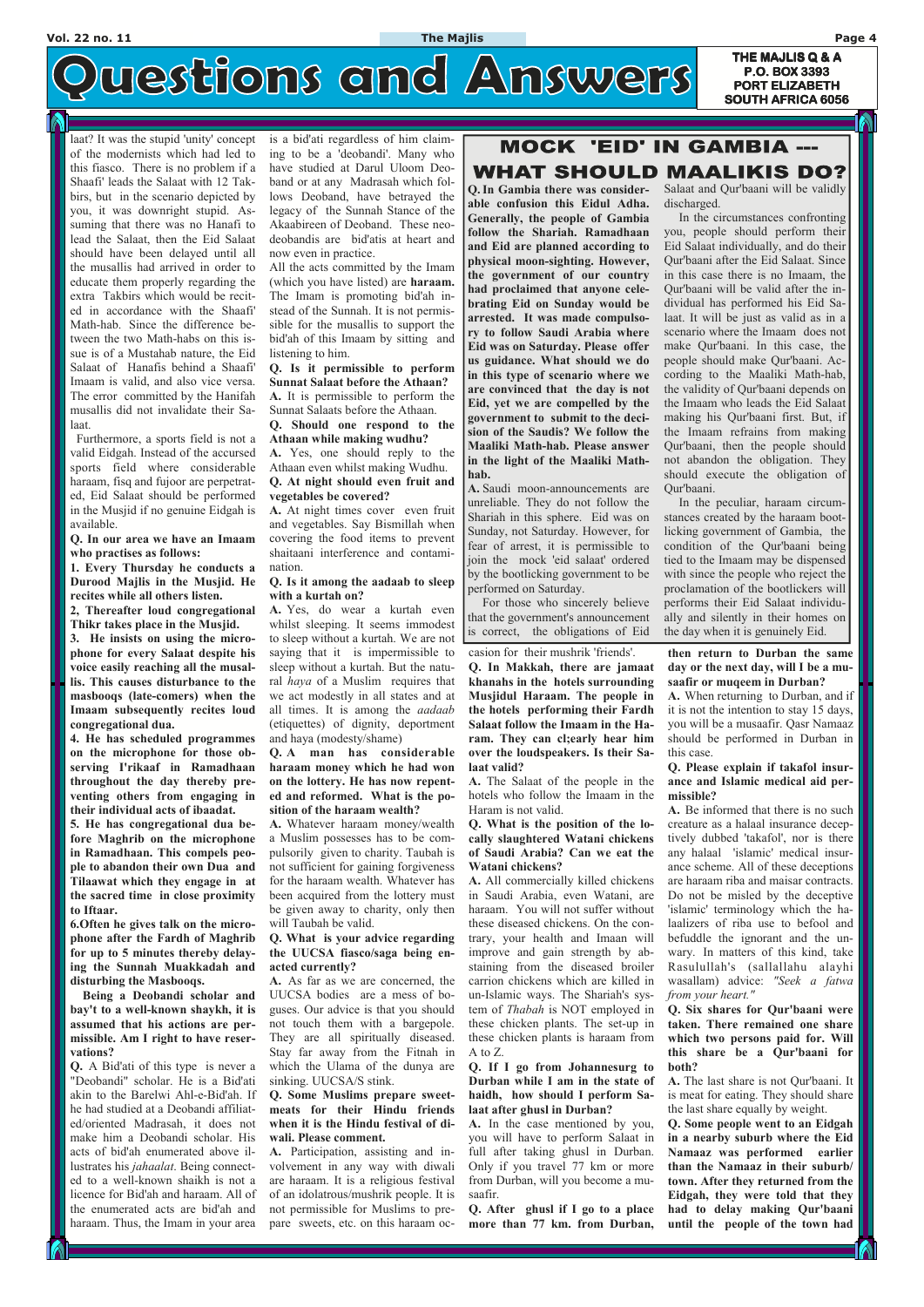**THE MAJLIS Q & A** uestions and Answers **P.O. BOX 3393 PORT ELIZABETH PORT ELIZABETH SOUTH AFRICA 6056** 

### laat? It was the stupid 'unity' concept of the modernists which had led to this fiasco. There is no problem if a Shaafi' leads the Salaat with 12 Takbirs, but in the scenario depicted by you, it was downright stupid. Assuming that there was no Hanafi to lead the Salaat, then the Eid Salaat should have been delayed until all the musallis had arrived in order to educate them properly regarding the extra Takbirs which would be recited in accordance with the Shaafi' Math-hab. Since the difference between the two Math-habs on this issue is of a Mustahab nature, the Eid Salaat of Hanafis behind a Shaafi' Imaam is valid, and also vice versa. The error committed by the Hanifah musallis did not invalidate their Salaat.

 Furthermore, a sports field is not a valid Eidgah. Instead of the accursed sports field where considerable haraam, fisq and fujoor are perpetrated, Eid Salaat should be performed in the Musjid if no genuine Eidgah is available.

**Q. In our area we have an Imaam who practises as follows:** 

**1. Every Thursday he conducts a Durood Majlis in the Musjid. He recites while all others listen.** 

**2, Thereafter loud congregational Thikr takes place in the Musjid.** 

**3. He insists on using the microphone for every Salaat despite his voice easily reaching all the musallis. This causes disturbance to the masbooqs (late-comers) when the Imaam subsequently recites loud congregational dua.** 

**4. He has scheduled programmes on the microphone for those observing I'rikaaf in Ramadhaan throughout the day thereby preventing others from engaging in their individual acts of ibaadat.** 

**5. He has congregational dua before Maghrib on the microphone in Ramadhaan. This compels people to abandon their own Dua and Tilaawat which they engage in at the sacred time in close proximity to Iftaar.** 

**6.Often he gives talk on the microphone after the Fardh of Maghrib for up to 5 minutes thereby delaying the Sunnah Muakkadah and disturbing the Masbooqs. Being a Deobandi scholar and bay't to a well-known shaykh, it is assumed that his actions are permissible. Am I right to have reservations? Q.** A Bid'ati of this type is never a "Deobandi" scholar. He is a Bid'ati akin to the Barelwi Ahl-e-Bid'ah. If he had studied at a Deobandi affiliated/oriented Madrasah, it does not make him a Deobandi scholar. His acts of bid'ah enumerated above illustrates his *jahaalat*. Being connected to a well-known shaikh is not a licence for Bid'ah and haraam. All of the enumerated acts are bid'ah and haraam. Thus, the Imam in your area is a bid'ati regardless of him claiming to be a 'deobandi'. Many who have studied at Darul Uloom Deoband or at any Madrasah which follows Deoband, have betrayed the legacy of the Sunnah Stance of the Akaabireen of Deoband. These neodeobandis are bid'atis at heart and now even in practice.

All the acts committed by the Imam (which you have listed) are **haraam.** The Imam is promoting bid'ah instead of the Sunnah. It is not permissible for the musallis to support the bid'ah of this Imaam by sitting and listening to him.

**Q. Is it permissible to perform Sunnat Salaat before the Athaan? A.** It is permissible to perform the Sunnat Salaats before the Athaan.

**Q. Should one respond to the Athaan while making wudhu?** 

**A.** Yes, one should reply to the Athaan even whilst making Wudhu. **Q. At night should even fruit and** 

**vegetables be covered?** 

**A.** At night times cover even fruit and vegetables. Say Bismillah when covering the food items to prevent shaitaani interference and contamination.

#### **Q. Is it among the aadaab to sleep with a kurtah on?**

**A.** Yes, do wear a kurtah even whilst sleeping. It seems immodest to sleep without a kurtah. We are not saying that it is impermissible to sleep without a kurtah. But the natural *haya* of a Muslim requires that we act modestly in all states and at all times. It is among the *aadaab* (etiquettes) of dignity, deportment and haya (modesty/shame)

**Q. A man has considerable haraam money which he had won on the lottery. He has now repented and reformed. What is the position of the haraam wealth?** 

**A.** Whatever haraam money/wealth a Muslim possesses has to be compulsorily given to charity. Taubah is not sufficient for gaining forgiveness for the haraam wealth. Whatever has been acquired from the lottery must be given away to charity, only then will Taubah be valid.

Salaat and Qur'baani will be validly discharged

#### **Q. What is your advice regarding the UUCSA fiasco/saga being enacted currently?**

**A.** As far as we are concerned, the

## **MOCK 'EID' IN GAMBIA ---**WHAT SHOULD MAALIKIS DO?

UUCSA bodies are a mess of boguses. Our advice is that you should not touch them with a bargepole. They are all spiritually diseased. Stay far away from the Fitnah in which the Ulama of the dunya are sinking. UUCSA/S stink.

**Q. Some Muslims prepare sweetmeats for their Hindu friends when it is the Hindu festival of diwali. Please comment.** 

**A.** Participation, assisting and involvement in any way with diwali are haraam. It is a religious festival of an idolatrous/mushrik people. It is not permissible for Muslims to prepare sweets, etc. on this haraam occasion for their mushrik 'friends'. **Q. In Makkah, there are jamaat khanahs in the hotels surrounding Musjidul Haraam. The people in the hotels performing their Fardh Salaat follow the Imaam in the Haram. They can cl;early hear him over the loudspeakers. Is their Salaat valid?** 

**A.** The Salaat of the people in the hotels who follow the Imaam in the Haram is not valid.

#### **Q. What is the position of the locally slaughtered Watani chickens of Saudi Arabia? Can we eat the Watani chickens?**

**A.** All commercially killed chickens in Saudi Arabia, even Watani, are haraam. You will not suffer without these diseased chickens. On the contrary, your health and Imaan will improve and gain strength by abstaining from the diseased broiler carrion chickens which are killed in

un-Islamic ways. The Shariah's sys-

tem of *Thabah* is NOT employed in these chicken plants. The set-up in these chicken plants is haraam from A to Z.

**Q. If I go from Johannesurg to Durban while I am in the state of haidh, how should I perform Salaat after ghusl in Durban?** 

**A.** In the case mentioned by you, you will have to perform Salaat in full after taking ghusl in Durban. Only if you travel 77 km or more from Durban, will you become a musaafir.

**Q. After ghusl if I go to a place more than 77 km. from Durban,** 

**then return to Durban the same day or the next day, will I be a musaafir or muqeem in Durban?** 

**A.** When returning to Durban, and if it is not the intention to stay 15 days, you will be a musaafir. Qasr Namaaz should be performed in Durban in this case.

#### **Q. Please explain if takafol insurance and Islamic medical aid permissible?**

**A.** Be informed that there is no such creature as a halaal insurance deceptively dubbed 'takafol', nor is there any halaal 'islamic' medical insurance scheme. All of these deceptions are haraam riba and maisar contracts. Do not be misled by the deceptive 'islamic' terminology which the halaalizers of riba use to befool and befuddle the ignorant and the unwary. In matters of this kind, take Rasulullah's (sallallahu alayhi wasallam) advice: *"Seek a fatwa* 

*from your heart."*

**Q. Six shares for Qur'baani were taken. There remained one share which two persons paid for. Will this share be a Qur'baani for both?** 

**A.** The last share is not Qur'baani. It is meat for eating. They should share the last share equally by weight.

**Q. Some people went to an Eidgah in a nearby suburb where the Eid Namaaz was performed earlier than the Namaaz in their suburb/ town. After they returned from the Eidgah, they were told that they had to delay making Qur'baani until the people of the town had** 

**Q. In Gambia there was considerable confusion this Eidul Adha. Generally, the people of Gambia follow the Shariah. Ramadhaan and Eid are planned according to physical moon-sighting. However, the government of our country had proclaimed that anyone celebrating Eid on Sunday would be arrested. It was made compulsory to follow Saudi Arabia where Eid was on Saturday. Please offer us guidance. What should we do in this type of scenario where we are convinced that the day is not Eid, yet we are compelled by the government to submit to the decision of the Saudis? We follow the Maaliki Math-hab. Please answer in the light of the Maaliki Mathhab.** 

**A.** Saudi moon-announcements are unreliable. They do not follow the Shariah in this sphere. Eid was on Sunday, not Saturday. However, for fear of arrest, it is permissible to join the mock 'eid salaat' ordered by the bootlicking government to be performed on Saturday.

 For those who sincerely believe that the government's announcement is correct, the obligations of Eid

 In the circumstances confronting you, people should perform their Eid Salaat individually, and do their Qur'baani after the Eid Salaat. Since in this case there is no Imaam, the Qur'baani will be valid after the individual has performed his Eid Salaat. It will be just as valid as in a scenario where the Imaam does not make Qur'baani. In this case, the people should make Qur'baani. According to the Maaliki Math-hab, the validity of Qur'baani depends on the Imaam who leads the Eid Salaat making his Qur'baani first. But, if the Imaam refrains from making Qur'baani, then the people should not abandon the obligation. They should execute the obligation of Qur'baani.

 In the peculiar, haraam circumstances created by the haraam bootlicking government of Gambia, the condition of the Qur'baani being tied to the Imaam may be dispensed with since the people who reject the proclamation of the bootlickers will performs their Eid Salaat individually and silently in their homes on the day when it is genuinely Eid.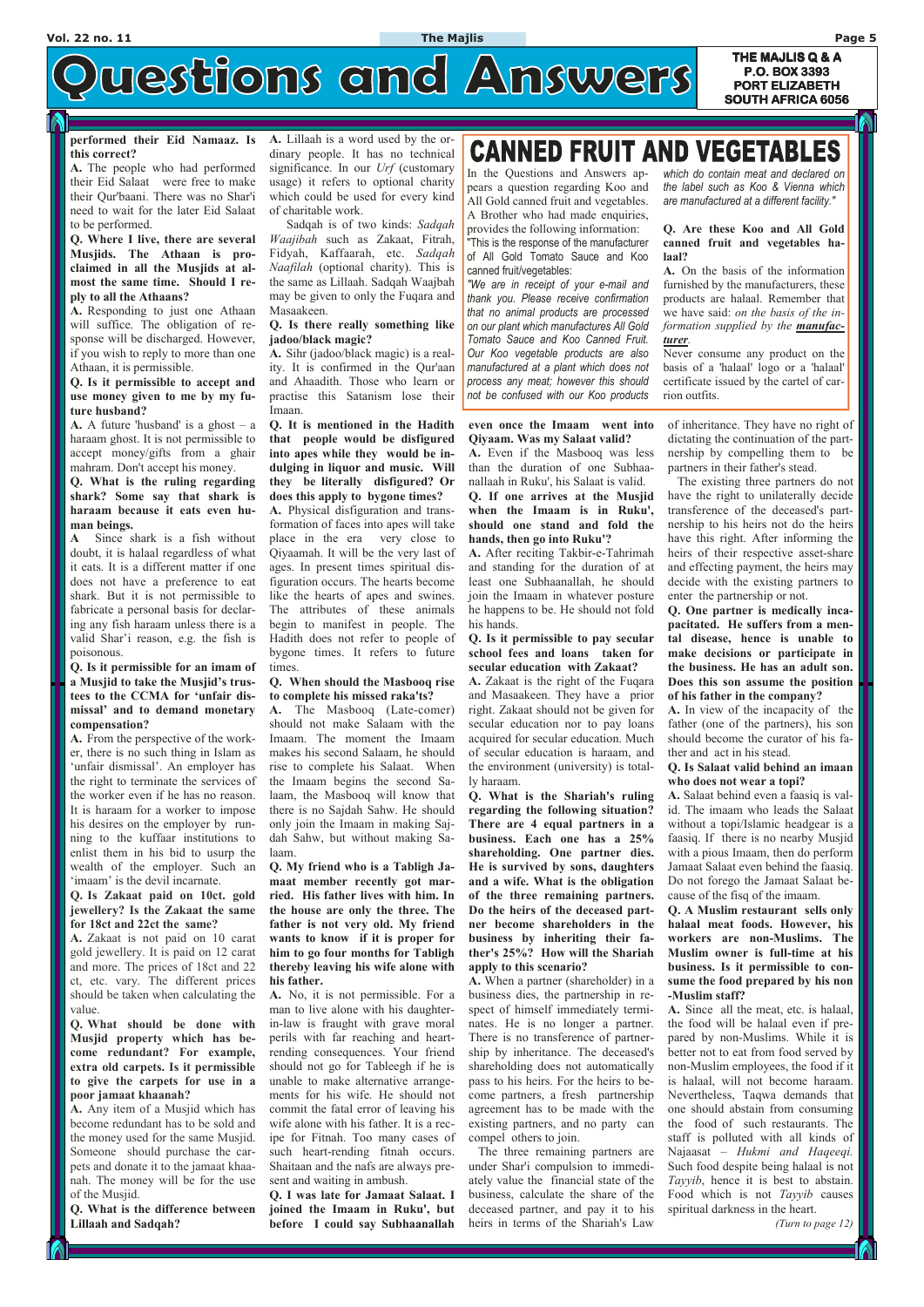**THE MAJLIS Q & A** uestions and Answers **P.O. BOX 3393 PORT ELIZABETH PORT ELIZABETH SOUTH AFRICA 6056** 

#### **performed their Eid Namaaz. Is this correct?**

**A.** The people who had performed their Eid Salaat were free to make their Qur'baani. There was no Shar'i need to wait for the later Eid Salaat to be performed.

**Q. Where I live, there are several Musjids. The Athaan is proclaimed in all the Musjids at almost the same time. Should I reply to all the Athaans?** 

**A.** A future 'husband' is a ghost  $-$  a haraam ghost. It is not permissible to accept money/gifts from a ghair mahram. Don't accept his money.

**A.** Responding to just one Athaan will suffice. The obligation of response will be discharged. However, if you wish to reply to more than one Athaan, it is permissible.

**Q. Is it permissible to accept and use money given to me by my future husband?** 

**Q. What is the ruling regarding shark? Some say that shark is haraam because it eats even human beings.** 

**A** Since shark is a fish without doubt, it is halaal regardless of what it eats. It is a different matter if one does not have a preference to eat shark. But it is not permissible to fabricate a personal basis for declaring any fish haraam unless there is a valid Shar'i reason, e.g. the fish is poisonous.

**Q. Is it permissible for an imam of a Musjid to take the Musjid's trustees to the CCMA for 'unfair dismissal' and to demand monetary compensation?** 

**A.** From the perspective of the worker, there is no such thing in Islam as 'unfair dismissal'. An employer has the right to terminate the services of the worker even if he has no reason. It is haraam for a worker to impose his desires on the employer by running to the kuffaar institutions to enlist them in his bid to usurp the wealth of the employer. Such an 'imaam' is the devil incarnate.

**Q. Is Zakaat paid on 10ct. gold jewellery? Is the Zakaat the same for 18ct and 22ct the same?** 

**A.** Zakaat is not paid on 10 carat gold jewellery. It is paid on 12 carat and more. The prices of 18ct and 22 ct, etc. vary. The different prices should be taken when calculating the **A.** No, it is not permissible. For a value. **Q. What should be done with Musjid property which has become redundant? For example, extra old carpets. Is it permissible to give the carpets for use in a poor jamaat khaanah? A.** Any item of a Musjid which has become redundant has to be sold and the money used for the same Musjid. Someone should purchase the carpets and donate it to the jamaat khaanah. The money will be for the use of the Musjid.

**Q. What is the difference between Lillaah and Sadqah?** 

**A.** Lillaah is a word used by the ordinary people. It has no technical significance. In our *Urf* (customary usage) it refers to optional charity which could be used for every kind of charitable work.

 Sadqah is of two kinds: *Sadqah Waajibah* such as Zakaat, Fitrah, Fidyah, Kaffaarah, etc. *Sadqah Naafilah* (optional charity). This is the same as Lillaah. Sadqah Waajbah may be given to only the Fuqara and Masaakeen.

**Q. Is there really something like jadoo/black magic?** 

**A.** Sihr (jadoo/black magic) is a reality. It is confirmed in the Qur'aan and Ahaadith. Those who learn or practise this Satanism lose their Imaan.

**Q. It is mentioned in the Hadith that people would be disfigured into apes while they would be indulging in liquor and music. Will they be literally disfigured? Or does this apply to bygone times?** 

**A.** Physical disfiguration and transformation of faces into apes will take place in the era very close to Qiyaamah. It will be the very last of ages. In present times spiritual disfiguration occurs. The hearts become like the hearts of apes and swines. The attributes of these animals begin to manifest in people. The Hadith does not refer to people of bygone times. It refers to future times.

#### **Q. When should the Masbooq rise to complete his missed raka'ts?**

**A.** The Masbooq (Late-comer) should not make Salaam with the Imaam. The moment the Imaam makes his second Salaam, he should rise to complete his Salaat. When the Imaam begins the second Salaam, the Masbooq will know that there is no Sajdah Sahw. He should only join the Imaam in making Sajdah Sahw, but without making Salaam.

**Q. My friend who is a Tabligh Jamaat member recently got married. His father lives with him. In the house are only the three. The father is not very old. My friend wants to know if it is proper for him to go four months for Tabligh thereby leaving his wife alone with his father.** 

# **CANNED FRUIT AND VEGETABLES**

man to live alone with his daughter-

in-law is fraught with grave moral perils with far reaching and heartrending consequences. Your friend should not go for Tableegh if he is unable to make alternative arrangements for his wife. He should not commit the fatal error of leaving his wife alone with his father. It is a recipe for Fitnah. Too many cases of such heart-rending fitnah occurs. Shaitaan and the nafs are always present and waiting in ambush.

**Q. I was late for Jamaat Salaat. I joined the Imaam in Ruku', but before I could say Subhaanallah** 

#### **even once the Imaam went into Qiyaam. Was my Salaat valid?**

**A.** Even if the Masbooq was less than the duration of one Subhaanallaah in Ruku', his Salaat is valid. **Q. If one arrives at the Musjid** 

**when the Imaam is in Ruku', should one stand and fold the hands, then go into Ruku'?** 

**A.** After reciting Takbir-e-Tahrimah and standing for the duration of at least one Subhaanallah, he should join the Imaam in whatever posture he happens to be. He should not fold his hands.

**Q. Is it permissible to pay secular school fees and loans taken for secular education with Zakaat?** 

**A.** Zakaat is the right of the Fuqara and Masaakeen. They have a prior right. Zakaat should not be given for secular education nor to pay loans acquired for secular education. Much of secular education is haraam, and the environment (university) is totally haraam.

**Q. What is the Shariah's ruling regarding the following situation? There are 4 equal partners in a business. Each one has a 25% shareholding. One partner dies. He is survived by sons, daughters and a wife. What is the obligation of the three remaining partners. Do the heirs of the deceased partner become shareholders in the business by inheriting their father's 25%? How will the Shariah apply to this scenario?** 

**A.** When a partner (shareholder) in a

business dies, the partnership in respect of himself immediately terminates. He is no longer a partner. There is no transference of partnership by inheritance. The deceased's shareholding does not automatically pass to his heirs. For the heirs to become partners, a fresh partnership agreement has to be made with the existing partners, and no party can compel others to join.

 The three remaining partners are under Shar'i compulsion to immediately value the financial state of the business, calculate the share of the deceased partner, and pay it to his heirs in terms of the Shariah's Law

of inheritance. They have no right of dictating the continuation of the partnership by compelling them to be partners in their father's stead.

 The existing three partners do not have the right to unilaterally decide transference of the deceased's partnership to his heirs not do the heirs have this right. After informing the heirs of their respective asset-share and effecting payment, the heirs may decide with the existing partners to enter the partnership or not.

**Q. One partner is medically incapacitated. He suffers from a mental disease, hence is unable to make decisions or participate in the business. He has an adult son. Does this son assume the position of his father in the company?** 

**A.** In view of the incapacity of the father (one of the partners), his son should become the curator of his father and act in his stead.

#### **Q. Is Salaat valid behind an imaan who does not wear a topi?**

**A.** Salaat behind even a faasiq is valid. The imaam who leads the Salaat without a topi/Islamic headgear is a faasiq. If there is no nearby Musjid with a pious Imaam, then do perform Jamaat Salaat even behind the faasiq. Do not forego the Jamaat Salaat because of the fisq of the imaam.

**Q. A Muslim restaurant sells only halaal meat foods. However, his workers are non-Muslims. The Muslim owner is full-time at his business. Is it permissible to consume the food prepared by his non**

#### **-Muslim staff?**

**A.** Since all the meat, etc. is halaal, the food will be halaal even if prepared by non-Muslims. While it is better not to eat from food served by non-Muslim employees, the food if it is halaal, will not become haraam. Nevertheless, Taqwa demands that one should abstain from consuming the food of such restaurants. The staff is polluted with all kinds of Najaasat – *Hukmi and Haqeeqi.*  Such food despite being halaal is not *Tayyib*, hence it is best to abstain. Food which is not *Tayyib* causes spiritual darkness in the heart.

*(Turn to page 12)*

In the Questions and Answers appears a question regarding Koo and All Gold canned fruit and vegetables. A Brother who had made enquiries, provides the following information:

"This is the response of the manufacturer of All Gold Tomato Sauce and Koo canned fruit/vegetables:

*"We are in receipt of your e-mail and thank you. Please receive confirmation that no animal products are processed on our plant which manufactures All Gold Tomato Sauce and Koo Canned Fruit. Our Koo vegetable products are also manufactured at a plant which does not process any meat; however this should not be confused with our Koo products* 

*which do contain meat and declared on the label such as Koo & Vienna which are manufactured at a different facility."* 

#### **Q. Are these Koo and All Gold canned fruit and vegetables halaal?**

**A.** On the basis of the information furnished by the manufacturers, these products are halaal. Remember that we have said: *on the basis of the information supplied by the manufacturer.*

Never consume any product on the basis of a 'halaal' logo or a 'halaal' certificate issued by the cartel of carrion outfits.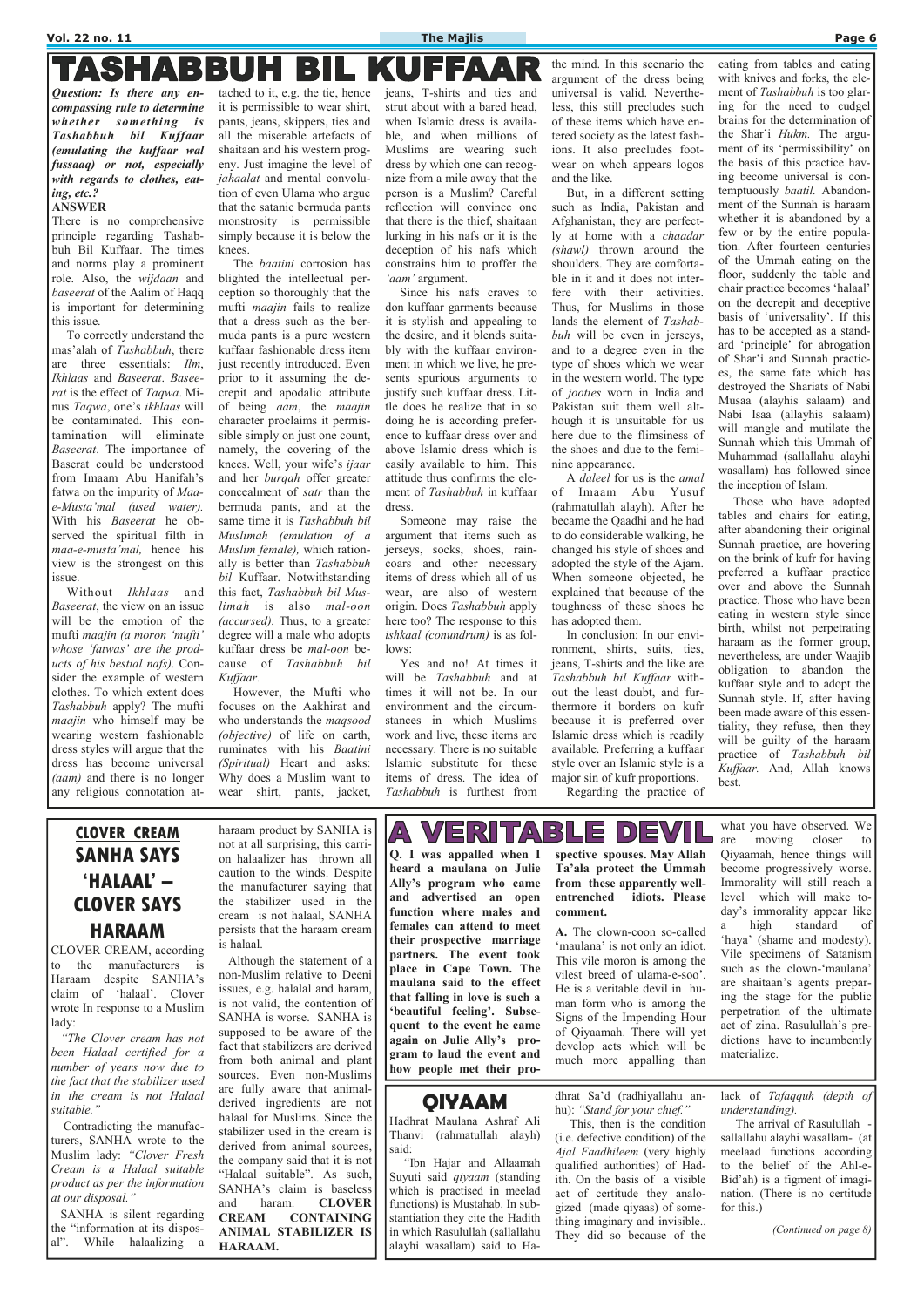#### **Vol. 22 no. 11 The Majlis Page 6**

## TASHABBUH BIL KUEEA

*Question: Is there any encompassing rule to determine whether something is Tashabbuh bil Kuffaar (emulating the kuffaar wal fussaaq) or not, especially with regards to clothes, eating, etc.?* 

#### **ANSWER**

There is no comprehensive principle regarding Tashabbuh Bil Kuffaar. The times and norms play a prominent role. Also, the *wijdaan* and *baseerat* of the Aalim of Haqq is important for determining this issue.

 To correctly understand the mas'alah of *Tashabbuh*, there are three essentials: *Ilm*, *Ikhlaas* and *Baseerat*. *Baseerat* is the effect of *Taqwa*. Minus *Taqwa*, one's *ikhlaas* will be contaminated. This contamination will eliminate *Baseerat*. The importance of Baserat could be understood from Imaam Abu Hanifah's fatwa on the impurity of *Maae-Musta'mal (used water).*  With his *Baseerat* he observed the spiritual filth in *maa-e-musta'mal,* hence his view is the strongest on this issue.

 Without *Ikhlaas* and *Baseerat*, the view on an issue will be the emotion of the mufti *maajin (a moron 'mufti' whose 'fatwas' are the products of his bestial nafs)*. Consider the example of western clothes. To which extent does *Tashabbuh* apply? The mufti *maajin* who himself may be wearing western fashionable dress styles will argue that the dress has become universal *(aam)* and there is no longer any religious connotation at-

tached to it, e.g. the tie, hence it is permissible to wear shirt, pants, jeans, skippers, ties and all the miserable artefacts of shaitaan and his western progeny. Just imagine the level of *jahaalat* and mental convolution of even Ulama who argue that the satanic bermuda pants monstrosity is permissible simply because it is below the knees.

 The *baatini* corrosion has blighted the intellectual perception so thoroughly that the mufti *maajin* fails to realize that a dress such as the bermuda pants is a pure western kuffaar fashionable dress item just recently introduced. Even prior to it assuming the decrepit and apodalic attribute of being *aam*, the *maajin*  character proclaims it permissible simply on just one count, namely, the covering of the knees. Well, your wife's *ijaar* and her *burqah* offer greater concealment of *satr* than the bermuda pants, and at the same time it is *Tashabbuh bil Muslimah (emulation of a Muslim female),* which rationally is better than *Tashabbuh bil* Kuffaar. Notwithstanding this fact, *Tashabbuh bil Muslimah* is also *mal-oon (accursed).* Thus, to a greater degree will a male who adopts kuffaar dress be *mal-oon* because of *Tashabbuh bil Kuffaar.* 

However, the Mufti who focuses on the Aakhirat and who understands the *maqsood (objective)* of life on earth, ruminates with his *Baatini (Spiritual)* Heart and asks: Why does a Muslim want to wear shirt, pants, jacket,

jeans, T-shirts and ties and strut about with a bared head, when Islamic dress is available, and when millions of Muslims are wearing such dress by which one can recognize from a mile away that the person is a Muslim? Careful reflection will convince one that there is the thief, shaitaan lurking in his nafs or it is the deception of his nafs which constrains him to proffer the *'aam'* argument.

 Since his nafs craves to don kuffaar garments because it is stylish and appealing to the desire, and it blends suitably with the kuffaar environment in which we live, he presents spurious arguments to justify such kuffaar dress. Little does he realize that in so doing he is according preference to kuffaar dress over and above Islamic dress which is easily available to him. This attitude thus confirms the element of *Tashabbuh* in kuffaar dress.

 Someone may raise the argument that items such as jerseys, socks, shoes, raincoars and other necessary items of dress which all of us wear, are also of western origin. Does *Tashabbuh* apply here too? The response to this *ishkaal (conundrum)* is as follows:

 Yes and no! At times it will be *Tashabbuh* and at times it will not be. In our environment and the circumstances in which Muslims work and live, these items are necessary. There is no suitable Islamic substitute for these items of dress. The idea of *Tashabbuh* is furthest from

the mind. In this scenario the argument of the dress being universal is valid. Nevertheless, this still precludes such of these items which have entered society as the latest fashions. It also precludes footwear on whch appears logos and the like.

 But, in a different setting such as India, Pakistan and Afghanistan, they are perfectly at home with a *chaadar (shawl)* thrown around the shoulders. They are comfortable in it and it does not interfere with their activities. Thus, for Muslims in those lands the element of *Tashabbuh* will be even in jerseys, and to a degree even in the type of shoes which we wear in the western world. The type of *jooties* worn in India and Pakistan suit them well although it is unsuitable for us here due to the flimsiness of the shoes and due to the feminine appearance.

 A *daleel* for us is the *amal*  of Imaam Abu Yusuf (rahmatullah alayh). After he became the Qaadhi and he had to do considerable walking, he changed his style of shoes and adopted the style of the Ajam. When someone objected, he explained that because of the toughness of these shoes he has adopted them.

> The arrival of Rasulullah sallallahu alayhi wasallam- (at meelaad functions according to the belief of the Ahl-e-Bid'ah) is a figment of imagination. (There is no certitude for this.)

 In conclusion: In our environment, shirts, suits, ties, jeans, T-shirts and the like are *Tashabbuh bil Kuffaar* without the least doubt, and furthermore it borders on kufr because it is preferred over Islamic dress which is readily available. Preferring a kuffaar style over an Islamic style is a major sin of kufr proportions. Regarding the practice of eating from tables and eating with knives and forks, the element of *Tashabbuh* is too glaring for the need to cudgel brains for the determination of the Shar'i *Hukm.* The argument of its 'permissibility' on the basis of this practice having become universal is contemptuously *baatil.* Abandonment of the Sunnah is haraam whether it is abandoned by a few or by the entire population. After fourteen centuries of the Ummah eating on the floor, suddenly the table and chair practice becomes 'halaal' on the decrepit and deceptive basis of 'universality'. If this has to be accepted as a standard 'principle' for abrogation of Shar'i and Sunnah practices, the same fate which has destroyed the Shariats of Nabi Musaa (alayhis salaam) and Nabi Isaa (allayhis salaam) will mangle and mutilate the Sunnah which this Ummah of Muhammad (sallallahu alayhi wasallam) has followed since the inception of Islam.

 Those who have adopted tables and chairs for eating, after abandoning their original Sunnah practice, are hovering on the brink of kufr for having preferred a kuffaar practice over and above the Sunnah practice. Those who have been eating in western style since birth, whilst not perpetrating haraam as the former group, nevertheless, are under Waajib obligation to abandon the kuffaar style and to adopt the Sunnah style. If, after having been made aware of this essentiality, they refuse, then they will be guilty of the haraam practice of *Tashabbuh bil Kuffaar.* And, Allah knows best.

## **CLOVER CREAM SANHA SAYS 'HALAAL' – CLOVER SAYS HARAAM**

CLOVER CREAM, according to the manufacturers is Haraam despite SANHA's claim of 'halaal'. Clover wrote In response to a Muslim lady:  *"The Clover cream has not been Halaal certified for a number of years now due to the fact that the stabilizer used in the cream is not Halaal suitable."*  Contradicting the manufacturers, SANHA wrote to the Muslim lady: *"Clover Fresh Cream is a Halaal suitable product as per the information at our disposal."* 

 SANHA is silent regarding the "information at its disposal". While halaalizing a haraam product by SANHA is not at all surprising, this carrion halaalizer has thrown all caution to the winds. Despite the manufacturer saying that the stabilizer used in the cream is not halaal, SANHA persists that the haraam cream is halaal.

 Although the statement of a non-Muslim relative to Deeni issues, e.g. halalal and haram, is not valid, the contention of SANHA is worse. SANHA is supposed to be aware of the fact that stabilizers are derived from both animal and plant sources. Even non-Muslims are fully aware that animalderived ingredients are not halaal for Muslims. Since the stabilizer used in the cream is derived from animal sources, the company said that it is not "Halaal suitable". As such, SANHA's claim is baseless and haram. **CLOVER CREAM CONTAINING ANIMAL STABILIZER IS HARAAM.**

#### VERITA  $B$ 巨  $D$  $E$ V  $\Delta$

**Q. I was appalled when I heard a maulana on Julie Ally's program who came and advertised an open function where males and females can attend to meet their prospective marriage partners. The event took place in Cape Town. The maulana said to the effect** 

**that falling in love is such a 'beautiful feeling'. Subsequent to the event he came again on Julie Ally's program to laud the event and how people met their pro-** **spective spouses. May Allah Ta'ala protect the Ummah from these apparently wellentrenched idiots. Please comment.** 

**A.** The clown-coon so-called 'maulana' is not only an idiot. This vile moron is among the vilest breed of ulama-e-soo'. He is a veritable devil in human form who is among the Signs of the Impending Hour of Qiyaamah. There will yet develop acts which will be much more appalling than

what you have observed. We are moving closer to Qiyaamah, hence things will become progressively worse. Immorality will still reach a level which will make today's immorality appear like a high standard of 'haya' (shame and modesty). Vile specimens of Satanism such as the clown-'maulana' are shaitaan's agents preparing the stage for the public perpetration of the ultimate act of zina. Rasulullah's predictions have to incumbently materialize.

## **QIYAAM**

Hadhrat Maulana Ashraf Ali Thanvi (rahmatullah alayh) said:

 "Ibn Hajar and Allaamah Suyuti said *qiyaam* (standing which is practised in meelad functions) is Mustahab. In substantiation they cite the Hadith in which Rasulullah (sallallahu alayhi wasallam) said to Hadhrat Sa'd (radhiyallahu anhu): *"Stand for your chief."* 

This, then is the condition (i.e. defective condition) of the *Ajal Faadhileem* (very highly qualified authorities) of Hadith. On the basis of a visible act of certitude they analogized (made qiyaas) of something imaginary and invisible.. They did so because of the

lack of *Tafaqquh (depth of understanding).* 

*(Continued on page 8)*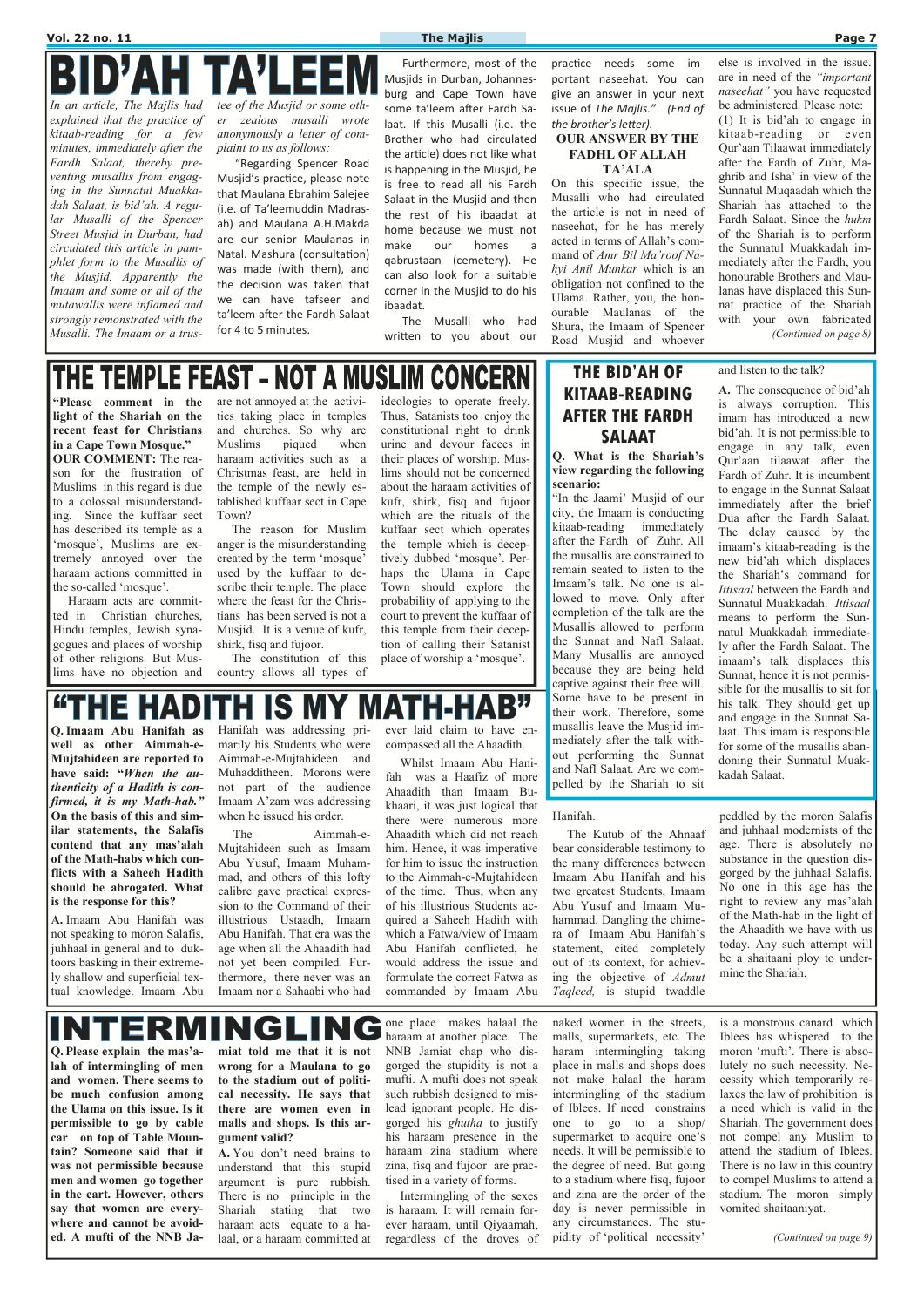**Q. Imaam Abu Hanifah as well as other Aimmah-e-Mujtahideen are reported to have said: "***When the authenticity of a Hadith is confirmed, it is my Math-hab."* **On the basis of this and similar statements, the Salafis** 

INTERM

Hanifah was addressing primarily his Students who were Aimmah-e-Mujtahideen and Muhadditheen. Morons were not part of the audience Imaam A'zam was addressing when he issued his order.

ever laid claim to have encompassed all the Ahaadith.

**contend that any mas'alah of the Math-habs which conflicts with a Saheeh Hadith should be abrogated. What is the response for this? A.** Imaam Abu Hanifah was not speaking to moron Salafis, juhhaal in general and to duktoors basking in their extremely shallow and superficial textual knowledge. Imaam Abu The Aimmah-e-Mujtahideen such as Imaam Abu Yusuf, Imaam Muhammad, and others of this lofty calibre gave practical expression to the Command of their illustrious Ustaadh, Imaam Abu Hanifah. That era was the age when all the Ahaadith had not yet been compiled. Furthermore, there never was an Imaam nor a Sahaabi who had him. Hence, it was imperative for him to issue the instruction to the Aimmah-e-Mujtahideen of the time. Thus, when any of his illustrious Students acquired a Saheeh Hadith with which a Fatwa/view of Imaam Abu Hanifah conflicted, he would address the issue and formulate the correct Fatwa as commanded by Imaam Abu The Kutub of the Ahnaaf bear considerable testimony to the many differences between Imaam Abu Hanifah and his two greatest Students, Imaam Abu Yusuf and Imaam Muhammad. Dangling the chimera of Imaam Abu Hanifah's statement, cited completely out of its context, for achieving the objective of *Admut Taqleed,* is stupid twaddle

Whilst Imaam Abu Hanifah was a Haafiz of more Ahaadith than Imaam Bukhaari, it was just logical that there were numerous more Ahaadith which did not reach

#### Hanifah.

peddled by the moron Salafis and juhhaal modernists of the age. There is absolutely no substance in the question disgorged by the juhhaal Salafis. No one in this age has the right to review any mas'alah of the Math-hab in the light of the Ahaadith we have with us today. Any such attempt will be a shaitaani ploy to undermine the Shariah.

## **THE BID'AH OF KITAAB-READING AFTER THE FARDH SALAAT**

**Q. What is the Shariah's view regarding the following scenario:** 

"In the Jaami' Musjid of our city, the Imaam is conducting kitaab-reading immediately after the Fardh of Zuhr. All the musallis are constrained to remain seated to listen to the Imaam's talk. No one is allowed to move. Only after completion of the talk are the Musallis allowed to perform the Sunnat and Nafl Salaat. Many Musallis are annoyed because they are being held captive against their free will. Some have to be present in their work. Therefore, some musallis leave the Musjid immediately after the talk without performing the Sunnat and Nafl Salaat. Are we compelled by the Shariah to sit

and listen to the talk?

**A.** The consequence of bid'ah is always corruption. This imam has introduced a new bid'ah. It is not permissible to engage in any talk, even Qur'aan tilaawat after the Fardh of Zuhr. It is incumbent to engage in the Sunnat Salaat immediately after the brief Dua after the Fardh Salaat. The delay caused by the imaam's kitaab-reading is the new bid'ah which displaces the Shariah's command for *Ittisaal* between the Fardh and Sunnatul Muakkadah. *Ittisaal*  means to perform the Sunnatul Muakkadah immediately after the Fardh Salaat. The imaam's talk displaces this Sunnat, hence it is not permissible for the musallis to sit for his talk. They should get up and engage in the Sunnat Salaat. This imam is responsible for some of the musallis abandoning their Sunnatul Muakkadah Salaat.

**"Please comment in the light of the Shariah on the recent feast for Christians in a Cape Town Mosque." OUR COMMENT:** The reason for the frustration of Muslims in this regard is due to a colossal misunderstanding. Since the kuffaar sect has described its temple as a 'mosque', Muslims are extremely annoyed over the haraam actions committed in the so-called 'mosque'.

D'AH TA'LEI *explained that the practice of kitaab-reading for a few minutes, immediately after the Fardh Salaat, thereby preventing musallis from engaging in the Sunnatul Muakkadah Salaat, is bid'ah. A regular Musalli of the Spencer Street Musjid in Durban, had circulated this article in pamphlet form to the Musallis of the Musjid. Apparently the Imaam and some or all of the mutawallis were inflamed and strongly remonstrated with the Musalli. The Imaam or a trus-*

 Haraam acts are committed in Christian churches, Hindu temples, Jewish synagogues and places of worship of other religions. But Muslims have no objection and are not annoyed at the activities taking place in temples and churches. So why are Muslims piqued when haraam activities such as a Christmas feast, are held in the temple of the newly established kuffaar sect in Cape Town?

 The reason for Muslim anger is the misunderstanding created by the term 'mosque' used by the kuffaar to describe their temple. The place where the feast for the Christians has been served is not a Musjid. It is a venue of kufr, shirk, fisq and fujoor.

else is involved in the issue. are in need of the *"important naseehat"* you have requested be administered. Please note:

 The constitution of this country allows all types of ideologies to operate freely. Thus, Satanists too enjoy the constitutional right to drink urine and devour faeces in their places of worship. Muslims should not be concerned about the haraam activities of kufr, shirk, fisq and fujoor which are the rituals of the kuffaar sect which operates the temple which is deceptively dubbed 'mosque'. Perhaps the Ulama in Cape Town should explore the probability of applying to the court to prevent the kuffaar of this temple from their deception of calling their Satanist place of worship a 'mosque'.

#### **"THE HADI** ITH IS MY IATH-HAB"

**Q. Please explain the mas'alah of intermingling of men and women. There seems to be much confusion among the Ulama on this issue. Is it permissible to go by cable car on top of Table Mountain? Someone said that it was not permissible because men and women go together in the cart. However, others say that women are everywhere and cannot be avoided. A mufti of the NNB Ja-** **miat told me that it is not wrong for a Maulana to go to the stadium out of political necessity. He says that there are women even in malls and shops. Is this argument valid?** 

INGLII

**A.** You don't need brains to understand that this stupid argument is pure rubbish. There is no principle in the Shariah stating that two haraam acts equate to a halaal, or a haraam committed at

one place makes halaal the haraam at another place. The NNB Jamiat chap who disgorged the stupidity is not a mufti. A mufti does not speak such rubbish designed to mislead ignorant people. He disgorged his *ghutha* to justify his haraam presence in the haraam zina stadium where zina, fisq and fujoor are practised in a variety of forms.

 Intermingling of the sexes is haraam. It will remain forever haraam, until Qiyaamah, regardless of the droves of

naked women in the streets, malls, supermarkets, etc. The haram intermingling taking place in malls and shops does not make halaal the haram intermingling of the stadium of Iblees. If need constrains one to go to a shop/ supermarket to acquire one's needs. It will be permissible to the degree of need. But going to a stadium where fisq, fujoor and zina are the order of the day is never permissible in any circumstances. The stupidity of 'political necessity'

is a monstrous canard which Iblees has whispered to the moron 'mufti'. There is absolutely no such necessity. Necessity which temporarily relaxes the law of prohibition is a need which is valid in the Shariah. The government does not compel any Muslim to attend the stadium of Iblees. There is no law in this country to compel Muslims to attend a stadium. The moron simply vomited shaitaaniyat.

*(Continued on page 9)* 

*In an article, The Majlis had tee of the Musjid or some other zealous musalli wrote anonymously a letter of complaint to us as follows:* 

> "Regarding Spencer Road Musjid's practice, please note that Maulana Ebrahim Salejee (i.e. of Ta'leemuddin Madrasah) and Maulana A.H.Makda are our senior Maulanas in Natal. Mashura (consultation) was made (with them), and the decision was taken that we can have tafseer and ta'leem after the Fardh Salaat for 4 to 5 minutes.

Furthermore, most of the Musjids in Durban, Johannesburg and Cape Town have some ta'leem after Fardh Salaat. If this Musalli (i.e. the Brother who had circulated the article) does not like what is happening in the Musjid, he is free to read all his Fardh Salaat in the Musjid and then the rest of his ibaadat at home because we must not make our homes a qabrustaan (cemetery). He can also look for a suitable corner in the Musjid to do his ibaadat.

The Musalli who had written to you about our practice needs some important naseehat. You can give an answer in your next issue of The Majlis." (End of the brother's letter).

#### **OUR ANSWER BY THE FADHL OF ALLAH TA'ALA**

On this specific issue, the Musalli who had circulated the article is not in need of naseehat, for he has merely acted in terms of Allah's command of *Amr Bil Ma'roof Nahyi Anil Munkar* which is an obligation not confined to the Ulama. Rather, you, the honourable Maulanas of the Shura, the Imaam of Spencer Road Musjid and whoever

(1) It is bid'ah to engage in kitaab-reading or even Qur'aan Tilaawat immediately after the Fardh of Zuhr, Maghrib and Isha' in view of the Sunnatul Muqaadah which the Shariah has attached to the Fardh Salaat. Since the *hukm*  of the Shariah is to perform the Sunnatul Muakkadah immediately after the Fardh, you honourable Brothers and Maulanas have displaced this Sunnat practice of the Shariah with your own fabricated *(Continued on page 8)* 

# THE TEMPLE FEAST – NOT A MUSLIM CONCERN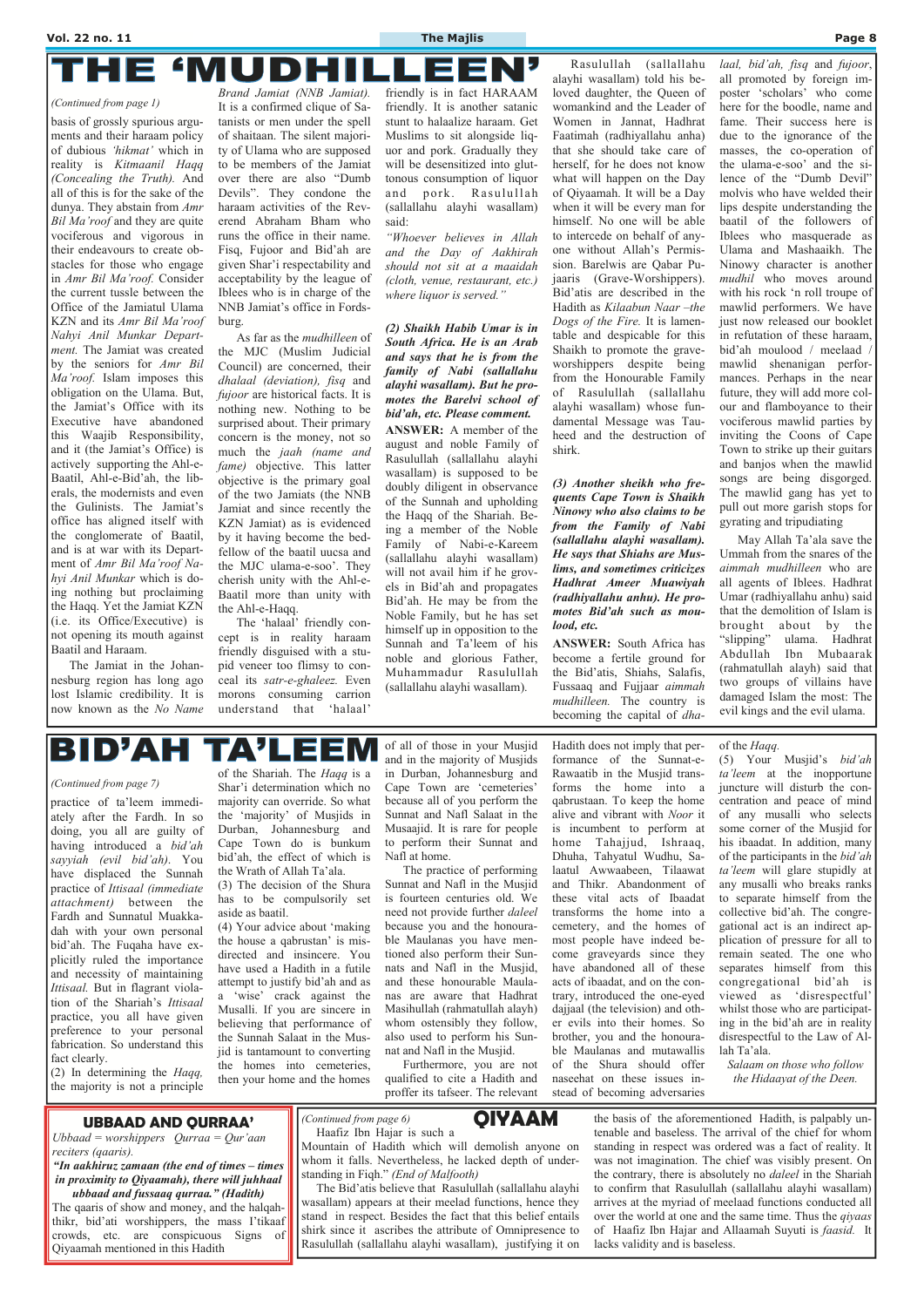#### **'MUDHI** IJ Е

basis of grossly spurious arguments and their haraam policy of dubious *'hikmat'* which in reality is *Kitmaanil Haqq (Concealing the Truth).* And all of this is for the sake of the dunya. They abstain from *Amr Bil Ma'roof* and they are quite vociferous and vigorous in their endeavours to create obstacles for those who engage in *Amr Bil Ma'roof.* Consider the current tussle between the Office of the Jamiatul Ulama KZN and its *Amr Bil Ma'roof Nahyi Anil Munkar Department.* The Jamiat was created by the seniors for *Amr Bil Ma'roof.* Islam imposes this obligation on the Ulama. But, the Jamiat's Office with its Executive have abandoned this Waajib Responsibility, and it (the Jamiat's Office) is actively supporting the Ahl-e-Baatil, Ahl-e-Bid'ah, the liberals, the modernists and even the Gulinists. The Jamiat's office has aligned itself with the conglomerate of Baatil, and is at war with its Department of *Amr Bil Ma'roof Nahyi Anil Munkar* which is doing nothing but proclaiming the Haqq. Yet the Jamiat KZN (i.e. its Office/Executive) is not opening its mouth against Baatil and Haraam.

 The Jamiat in the Johannesburg region has long ago lost Islamic credibility. It is now known as the *No Name* 

*Brand Jamiat (NNB Jamiat).* It is a confirmed clique of Satanists or men under the spell of shaitaan. The silent majority of Ulama who are supposed to be members of the Jamiat over there are also "Dumb Devils". They condone the haraam activities of the Reverend Abraham Bham who runs the office in their name. Fisq, Fujoor and Bid'ah are given Shar'i respectability and acceptability by the league of Iblees who is in charge of the NNB Jamiat's office in Fordsburg.

As far as the *mudhilleen* of the MJC (Muslim Judicial Council) are concerned, their *dhalaal (deviation), fisq* and *fujoor* are historical facts. It is nothing new. Nothing to be surprised about. Their primary concern is the money, not so much the *jaah (name and fame*) objective. This latter objective is the primary goal of the two Jamiats (the NNB Jamiat and since recently the KZN Jamiat) as is evidenced by it having become the bedfellow of the baatil uucsa and the MJC ulama-e-soo'. They cherish unity with the Ahl-e-Baatil more than unity with the Ahl-e-Haqq.

 The 'halaal' friendly concept is in reality haraam friendly disguised with a stupid veneer too flimsy to conceal its *satr-e-ghaleez.* Even morons consuming carrion understand that 'halaal'

friendly is in fact HARAAM friendly. It is another satanic stunt to halaalize haraam. Get Muslims to sit alongside liquor and pork. Gradually they will be desensitized into gluttonous consumption of liquor and pork. Rasulullah (sallallahu alayhi wasallam) said:

*"Whoever believes in Allah and the Day of Aakhirah should not sit at a maaidah (cloth, venue, restaurant, etc.) where liquor is served."* 

*(2) Shaikh Habib Umar is in South Africa. He is an Arab and says that he is from the family of Nabi (sallallahu alayhi wasallam). But he promotes the Barelvi school of bid'ah, etc. Please comment.*  **ANSWER:** A member of the august and noble Family of Rasulullah (sallallahu alayhi wasallam) is supposed to be doubly diligent in observance of the Sunnah and upholding the Haqq of the Shariah. Being a member of the Noble Family of Nabi-e-Kareem (sallallahu alayhi wasallam) will not avail him if he grovels in Bid'ah and propagates Bid'ah. He may be from the Noble Family, but he has set himself up in opposition to the Sunnah and Ta'leem of his noble and glorious Father, Muhammadur Rasulullah (sallallahu alayhi wasallam).

 Rasulullah (sallallahu alayhi wasallam) told his beloved daughter, the Queen of womankind and the Leader of Women in Jannat, Hadhrat Faatimah (radhiyallahu anha) that she should take care of herself, for he does not know what will happen on the Day of Qiyaamah. It will be a Day when it will be every man for himself. No one will be able to intercede on behalf of anyone without Allah's Permission. Barelwis are Qabar Pujaaris (Grave-Worshippers). Bid'atis are described in the Hadith as *Kilaabun Naar –the Dogs of the Fire.* It is lamentable and despicable for this Shaikh to promote the graveworshippers despite being from the Honourable Family of Rasulullah (sallallahu alayhi wasallam) whose fundamental Message was Tauheed and the destruction of shirk.

*(3) Another sheikh who frequents Cape Town is Shaikh Ninowy who also claims to be from the Family of Nabi (sallallahu alayhi wasallam). He says that Shiahs are Muslims, and sometimes criticizes Hadhrat Ameer Muawiyah (radhiyallahu anhu). He promotes Bid'ah such as moulood, etc.* 

**ANSWER:** South Africa has become a fertile ground for the Bid'atis, Shiahs, Salafis, Fussaaq and Fujjaar *aimmah mudhilleen.* The country is becoming the capital of *dha-* *laal, bid'ah, fisq* and *fujoor*,

all promoted by foreign imposter 'scholars' who come here for the boodle, name and fame. Their success here is due to the ignorance of the masses, the co-operation of the ulama-e-soo' and the silence of the "Dumb Devil" molvis who have welded their lips despite understanding the baatil of the followers of Iblees who masquerade as Ulama and Mashaaikh. The Ninowy character is another *mudhil* who moves around with his rock 'n roll troupe of mawlid performers. We have just now released our booklet in refutation of these haraam, bid'ah moulood / meelaad / mawlid shenanigan performances. Perhaps in the near future, they will add more colour and flamboyance to their vociferous mawlid parties by inviting the Coons of Cape Town to strike up their guitars and banjos when the mawlid songs are being disgorged. The mawlid gang has yet to pull out more garish stops for gyrating and tripudiating

 May Allah Ta'ala save the Ummah from the snares of the *aimmah mudhilleen* who are all agents of Iblees. Hadhrat Umar (radhiyallahu anhu) said that the demolition of Islam is brought about by the "slipping" ulama. Hadhrat Abdullah Ibn Mubaarak (rahmatullah alayh) said that two groups of villains have damaged Islam the most: The evil kings and the evil ulama.

## BID'AH **TA'LEE**

#### *(Continued from page 1)*

practice of ta'leem immediately after the Fardh. In so doing, you all are guilty of having introduced a *bid'ah sayyiah (evil bid'ah)*. You have displaced the Sunnah practice of *Ittisaal (immediate attachment)* between the Fardh and Sunnatul Muakkadah with your own personal bid'ah. The Fuqaha have explicitly ruled the importance and necessity of maintaining *Ittisaal.* But in flagrant violation of the Shariah's *Ittisaal* practice, you all have given preference to your personal fabrication. So understand this fact clearly. (2) In determining the *Haqq,*  the majority is not a principle

of the Shariah. The *Haqq* is a Shar'i determination which no majority can override. So what the 'majority' of Musjids in Durban, Johannesburg and Cape Town do is bunkum bid'ah, the effect of which is the Wrath of Allah Ta'ala.

(3) The decision of the Shura has to be compulsorily set aside as baatil.

(4) Your advice about 'making the house a qabrustan' is misdirected and insincere. You have used a Hadith in a futile attempt to justify bid'ah and as a 'wise' crack against the Musalli. If you are sincere in believing that performance of the Sunnah Salaat in the Musjid is tantamount to converting the homes into cemeteries, then your home and the homes of all of those in your Musjid and in the majority of Musjids in Durban, Johannesburg and Cape Town are 'cemeteries' because all of you perform the Sunnat and Nafl Salaat in the Musaajid. It is rare for people to perform their Sunnat and Nafl at home.

 The practice of performing Sunnat and Nafl in the Musjid is fourteen centuries old. We need not provide further *daleel* because you and the honourable Maulanas you have mentioned also perform their Sunnats and Nafl in the Musjid, and these honourable Maulanas are aware that Hadhrat Masihullah (rahmatullah alayh) whom ostensibly they follow, also used to perform his Sunnat and Nafl in the Musjid.

 Furthermore, you are not qualified to cite a Hadith and proffer its tafseer. The relevant Hadith does not imply that performance of the Sunnat-e-Rawaatib in the Musjid transforms the home into a qabrustaan. To keep the home alive and vibrant with *Noor* it is incumbent to perform at home Tahajjud, Ishraaq, Dhuha, Tahyatul Wudhu, Salaatul Awwaabeen, Tilaawat and Thikr. Abandonment of these vital acts of Ibaadat transforms the home into a cemetery, and the homes of most people have indeed become graveyards since they have abandoned all of these acts of ibaadat, and on the con-

trary, introduced the one-eyed dajjaal (the television) and other evils into their homes. So brother, you and the honourable Maulanas and mutawallis of the Shura should offer naseehat on these issues instead of becoming adversaries

#### of the *Haqq.*

(5) Your Musjid's *bid'ah ta'leem* at the inopportune juncture will disturb the concentration and peace of mind of any musalli who selects some corner of the Musjid for his ibaadat. In addition, many of the participants in the *bid'ah ta'leem* will glare stupidly at any musalli who breaks ranks to separate himself from the collective bid'ah. The congregational act is an indirect application of pressure for all to remain seated. The one who separates himself from this congregational bid'ah is viewed as 'disrespectful' whilst those who are participating in the bid'ah are in reality disrespectful to the Law of Allah Ta'ala.

*Salaam on those who follow the Hidaayat of the Deen.*

#### *(Continued from page 7)*

## Haafiz Ibn Hajar is such a



Mountain of Hadith which will demolish anyone on whom it falls. Nevertheless, he lacked depth of understanding in Fiqh." *(End of Malfooth)* 

 The Bid'atis believe that Rasulullah (sallallahu alayhi wasallam) appears at their meelad functions, hence they stand in respect. Besides the fact that this belief entails shirk since it ascribes the attribute of Omnipresence to Rasulullah (sallallahu alayhi wasallam), justifying it on the basis of the aforementioned Hadith, is palpably untenable and baseless. The arrival of the chief for whom standing in respect was ordered was a fact of reality. It was not imagination. The chief was visibly present. On the contrary, there is absolutely no *daleel* in the Shariah to confirm that Rasulullah (sallallahu alayhi wasallam) arrives at the myriad of meelaad functions conducted all over the world at one and the same time. Thus the *qiyaas* of Haafiz Ibn Hajar and Allaamah Suyuti is *faasid.* It lacks validity and is baseless.

## **UBBAAD AND QURRAA'** *(Continued from page 6)* **QIYAAM**

*Ubbaad = worshippers Qurraa = Qur'aan reciters (qaaris).* 

*"In aakhiruz zamaan (the end of times – times in proximity to Qiyaamah), there will juhhaal ubbaad and fussaaq qurraa." (Hadith)*  The qaaris of show and money, and the halqahthikr, bid'ati worshippers, the mass I'tikaaf crowds, etc. are conspicuous Signs of Qiyaamah mentioned in this Hadith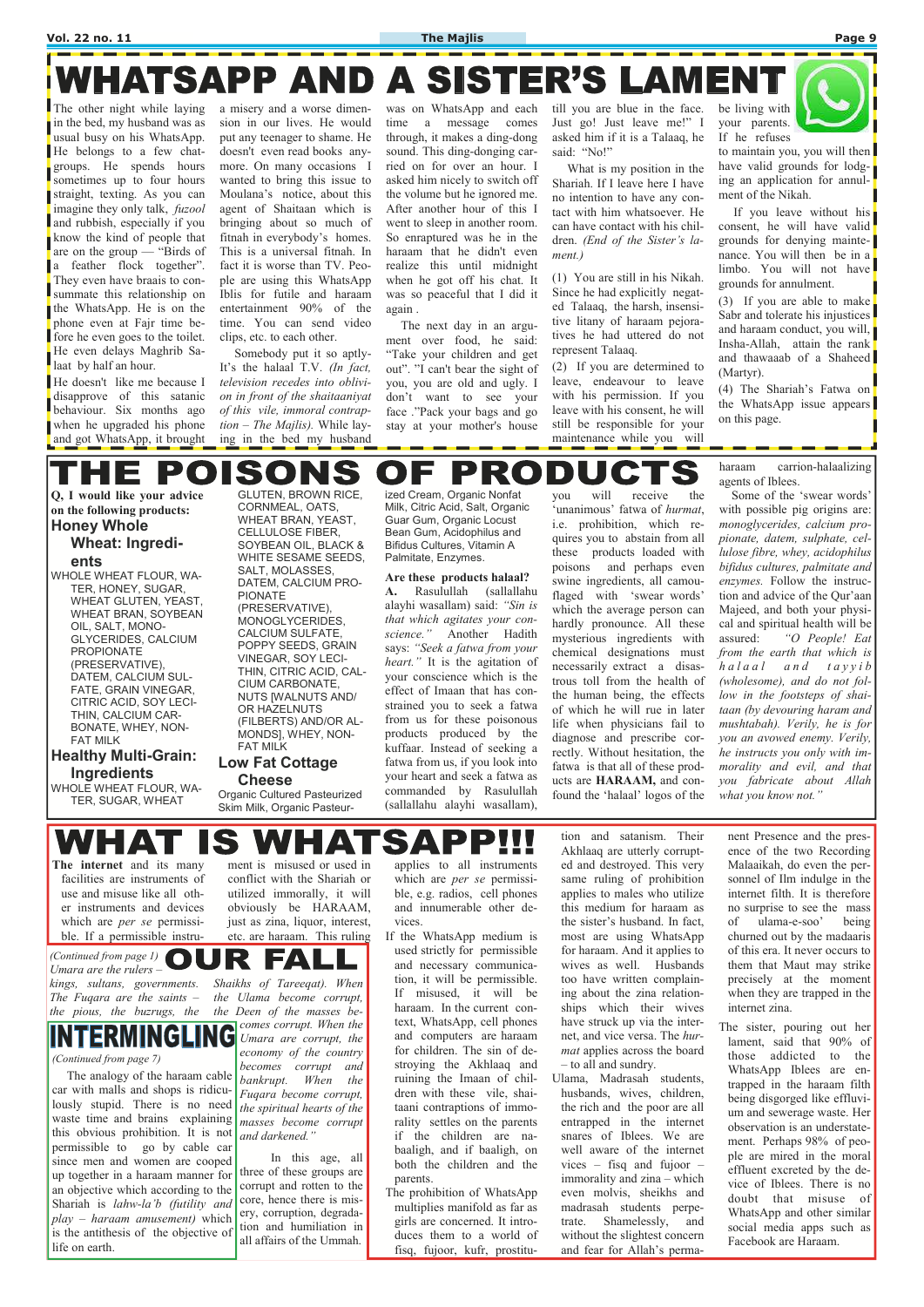#### **Vol. 22 no. 11 The Majlis Page 9**

# WHATSAPP AND A SISTER'S LAMENT

The other night while laying in the bed, my husband was as usual busy on his WhatsApp. He belongs to a few chatgroups. He spends hours sometimes up to four hours straight, texting. As you can imagine they only talk, *fuzool*  and rubbish, especially if you know the kind of people that are on the group — "Birds of a feather flock together". They even have braais to consummate this relationship on the WhatsApp. He is on the phone even at Fajr time before he even goes to the toilet. He even delays Maghrib Salaat by half an hour.

He doesn't like me because I disapprove of this satanic behaviour. Six months ago when he upgraded his phone and got WhatsApp, it brought a misery and a worse dimension in our lives. He would put any teenager to shame. He doesn't even read books anymore. On many occasions I wanted to bring this issue to Moulana's notice, about this agent of Shaitaan which is bringing about so much of fitnah in everybody's homes. This is a universal fitnah. In fact it is worse than TV. People are using this WhatsApp Iblis for futile and haraam entertainment 90% of the time. You can send video clips, etc. to each other.

till you are blue in the face. Just go! Just leave me!" I asked him if it is a Talaaq, he said: "No!"

 Somebody put it so aptly-It's the halaal T.V. *(In fact, television recedes into oblivion in front of the shaitaaniyat of this vile, immoral contraption – The Majlis).* While laying in the bed my husband

was on WhatsApp and each time a message comes through, it makes a ding-dong sound. This ding-donging carried on for over an hour. I asked him nicely to switch off the volume but he ignored me. After another hour of this I went to sleep in another room. So enraptured was he in the haraam that he didn't even realize this until midnight when he got off his chat. It was so peaceful that I did it again .

 The next day in an argument over food, he said: "Take your children and get out". "I can't bear the sight of you, you are old and ugly. I don't want to see your face ."Pack your bags and go stay at your mother's house

 What is my position in the Shariah. If I leave here I have no intention to have any contact with him whatsoever. He can have contact with his children. *(End of the Sister's lament.)*

(1) You are still in his Nikah. Since he had explicitly negated Talaaq, the harsh, insensitive litany of haraam pejoratives he had uttered do not represent Talaaq.

(2) If you are determined to leave, endeavour to leave with his permission. If you leave with his consent, he will still be responsible for your maintenance while you will

be living with your parents. If he refuses



to maintain you, you will then have valid grounds for lodging an application for annulment of the Nikah.

 If you leave without his consent, he will have valid grounds for denying maintenance. You will then be in a limbo. You will not have grounds for annulment.

(3) If you are able to make Sabr and tolerate his injustices and haraam conduct, you will, Insha-Allah, attain the rank and thawaaab of a Shaheed (Martyr).

(4) The Shariah's Fatwa on the WhatsApp issue appears on this page.

#### ONS D P F

**Q, I would like your advice on the following products: Honey Whole** 

### **Wheat: Ingredients**

WHOLE WHEAT FLOUR, WA-TER, HONEY, SUGAR, WHEAT GLUTEN, YEAST, WHEAT BRAN, SOYBEAN OIL, SALT, MONO-GLYCERIDES, CALCIUM PROPIONATE (PRESERVATIVE), DATEM, CALCIUM SUL-FATE, GRAIN VINEGAR, CITRIC ACID, SOY LECI-THIN, CALCIUM CAR-BONATE, WHEY, NON-FAT MILK

### **Healthy Multi-Grain: Ingredients**

WHOLE WHEAT FLOUR, WA-TER, SUGAR, WHEAT

GLUTEN, BROWN RICE, CORNMEAL, OATS, WHEAT BRAN, YEAST, CELLULOSE FIBER, SOYBEAN OIL, BLACK & WHITE SESAME SEEDS, SALT, MOLASSES, DATEM, CALCIUM PRO-PIONATE (PRESERVATIVE), MONOGLYCERIDES, CALCIUM SULFATE, POPPY SEEDS, GRAIN VINEGAR, SOY LECI-THIN, CITRIC ACID, CAL-CIUM CARBONATE, NUTS [WALNUTS AND/ OR HAZELNUTS (FILBERTS) AND/OR AL-MONDS], WHEY, NON-

### FAT MILK **Low Fat Cottage Cheese**

Organic Cultured Pasteurized Skim Milk, Organic Pasteurized Cream, Organic Nonfat Milk, Citric Acid, Salt, Organic Guar Gum, Organic Locust Bean Gum, Acidophilus and Bifidus Cultures, Vitamin A Palmitate, Enzymes.

**Are these products halaal? A.** Rasulullah (sallallahu alayhi wasallam) said: *"Sin is that which agitates your conscience."* Another Hadith says: *"Seek a fatwa from your heart."* It is the agitation of your conscience which is the effect of Imaan that has constrained you to seek a fatwa from us for these poisonous products produced by the kuffaar. Instead of seeking a fatwa from us, if you look into your heart and seek a fatwa as commanded by Rasulullah (sallallahu alayhi wasallam),

**INTERMINGLII** *(Continued from page 7)* 

you will receive the 'unanimous' fatwa of *hurmat*, i.e. prohibition, which requires you to abstain from all these products loaded with poisons and perhaps even swine ingredients, all camouflaged with 'swear words' which the average person can hardly pronounce. All these mysterious ingredients with chemical designations must necessarily extract a disastrous toll from the health of the human being, the effects of which he will rue in later life when physicians fail to diagnose and prescribe correctly. Without hesitation, the fatwa is that all of these products are **HARAAM,** and confound the 'halaal' logos of the haraam carrion-halaalizing agents of Iblees.

 Some of the 'swear words' with possible pig origins are: *monoglycerides, calcium propionate, datem, sulphate, cellulose fibre, whey, acidophilus bifidus cultures, palmitate and enzymes.* Follow the instruction and advice of the Qur'aan Majeed, and both your physical and spiritual health will be assured: *"O People! Eat from the earth that which is h a l a a l a n d t a y y i b (wholesome), and do not follow in the footsteps of shaitaan (by devouring haram and mushtabah). Verily, he is for you an avowed enemy. Verily, he instructs you only with immorality and evil, and that you fabricate about Allah what you know not."*

 $\blacksquare$  $\blacksquare$ 

**The internet** and its many facilities are instruments of use and misuse like all other instruments and devices which are *per se* permissible. If a permissible instrument is misused or used in conflict with the Shariah or utilized immorally, it will obviously be HARAAM, just as zina, liquor, interest, etc. are haraam. This ruling applies to all instruments which are *per se* permissible, e.g. radios, cell phones and innumerable other devices.

If the WhatsApp medium is used strictly for permissible and necessary communication, it will be permissible. If misused, it will be haraam. In the current context, WhatsApp, cell phones and computers are haraam for children. The sin of destroying the Akhlaaq and ruining the Imaan of children with these vile, shaitaani contraptions of immorality settles on the parents if the children are nabaaligh, and if baaligh, on both the children and the parents. The prohibition of WhatsApp multiplies manifold as far as girls are concerned. It introduces them to a world of fisq, fujoor, kufr, prostitu-

tion and satanism. Their Akhlaaq are utterly corrupted and destroyed. This very same ruling of prohibition applies to males who utilize this medium for haraam as the sister's husband. In fact, most are using WhatsApp for haraam. And it applies to wives as well. Husbands too have written complaining about the zina relationships which their wives have struck up via the internet, and vice versa. The *hurmat* applies across the board – to all and sundry. Ulama, Madrasah students, husbands, wives, children, the rich and the poor are all entrapped in the internet snares of Iblees. We are well aware of the internet vices – fisq and fujoor – immorality and zina – which even molvis, sheikhs and madrasah students perpetrate. Shamelessly, and without the slightest concern and fear for Allah's perma-

nent Presence and the presence of the two Recording Malaaikah, do even the personnel of Ilm indulge in the internet filth. It is therefore no surprise to see the mass of ulama-e-soo' being churned out by the madaaris of this era. It never occurs to them that Maut may strike precisely at the moment when they are trapped in the internet zina. The sister, pouring out her lament, said that 90% of those addicted to the WhatsApp Iblees are entrapped in the haraam filth being disgorged like effluvium and sewerage waste. Her observation is an understatement. Perhaps 98% of people are mired in the moral effluent excreted by the device of Iblees. There is no doubt that misuse of WhatsApp and other similar social media apps such as Facebook are Haraam.

*Umara are the rulers –* 

*The Fuqara are the saints –* 

*(Continued from page 1)*  $\bigcirc$   $\bigcup$   $\bigcirc$   $\bigcirc$   $\bigcirc$   $\bigcirc$   $\bigcirc$   $\bigcirc$   $\bigcirc$   $\bigcirc$   $\bigcirc$   $\bigcirc$   $\bigcirc$   $\bigcirc$   $\bigcirc$   $\bigcirc$   $\bigcirc$   $\bigcirc$   $\bigcirc$   $\bigcirc$   $\bigcirc$   $\bigcirc$   $\bigcirc$   $\bigcirc$   $\bigcirc$   $\bigcirc$   $\bigcirc$   $\bigcirc$   $\bigcirc$   $\bigcirc$   $\bigcirc$   $\bigcirc$   $\big$ 

*kings, sultans, governments. Shaikhs of Tareeqat). When the pious, the buzrugs, the the Deen of the masses bethe Ulama become corrupt, comes corrupt. When the Umara are corrupt, the economy of the country becomes corrupt and bankrupt. When the Fuqara become corrupt, the spiritual hearts of the masses become corrupt and darkened."* 

 In this age, all three of these groups are corrupt and rotten to the core, hence there is misery, corruption, degradation and humiliation in all affairs of the Ummah.

 The analogy of the haraam cable car with malls and shops is ridiculously stupid. There is no need waste time and brains explaining this obvious prohibition. It is not permissible to go by cable car since men and women are cooped up together in a haraam manner for an objective which according to the Shariah is *lahw-la'b (futility and play – haraam amusement)* which is the antithesis of the objective of life on earth.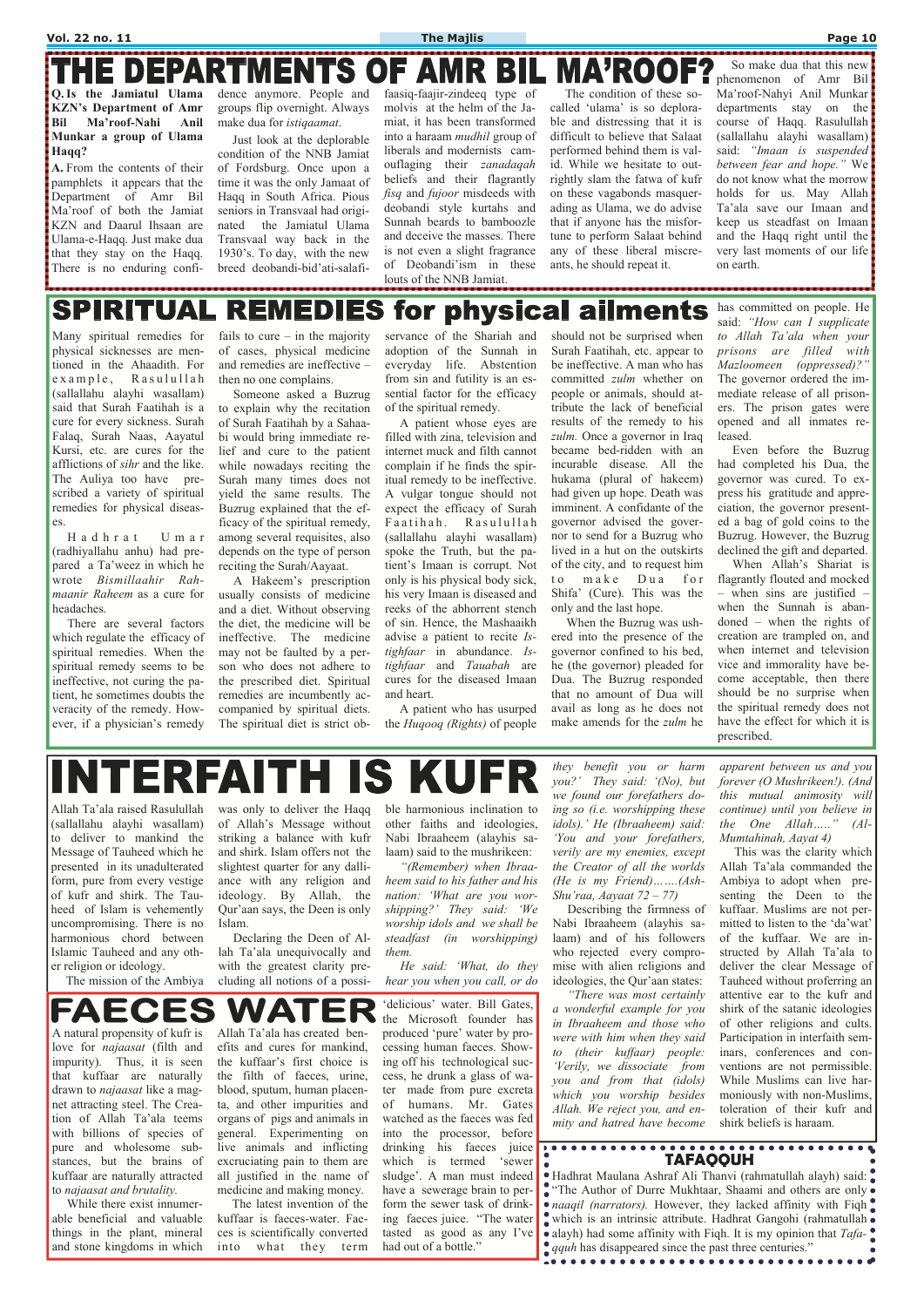**KZN's Department of Amr Bil Ma'roof-Nahi Anil Munkar a group of Ulama Haqq?** 

**A.** From the contents of their pamphlets it appears that the Department of Amr Bil Ma'roof of both the Jamiat KZN and Daarul Ihsaan are Ulama-e-Haqq. Just make dua that they stay on the Haqq. There is no enduring confi-

groups flip overnight. Always make dua for *istiqaamat*.

#### **THE DEPARTMENTS OF MA'ROOF AMR Q. Is the Jamiatul Ulama**  dence anymore. People and faasiq-faajir-zindeeq type of The condition of these so-

 Just look at the deplorable condition of the NNB Jamiat of Fordsburg. Once upon a time it was the only Jamaat of Haqq in South Africa. Pious seniors in Transvaal had originated the Jamiatul Ulama Transvaal way back in the 1930's. To day, with the new breed deobandi-bid'ati-salafimolvis at the helm of the Jamiat, it has been transformed into a haraam *mudhil* group of liberals and modernists camouflaging their *zanadaqah* beliefs and their flagrantly *fisq* and *fujoor* misdeeds with deobandi style kurtahs and Sunnah beards to bamboozle and deceive the masses. There is not even a slight fragrance of Deobandi'ism in these louts of the NNB Jamiat.

called 'ulama' is so deplorable and distressing that it is difficult to believe that Salaat performed behind them is valid. While we hesitate to outrightly slam the fatwa of kufr on these vagabonds masquerading as Ulama, we do advise that if anyone has the misfortune to perform Salaat behind any of these liberal miscreants, he should repeat it.

 So make dua that this new phenomenon of Amr Bil Ma'roof-Nahyi Anil Munkar departments stay on the course of Haqq. Rasulullah (sallallahu alayhi wasallam) said: *"Imaan is suspended between fear and hope."* We do not know what the morrow holds for us. May Allah Ta'ala save our Imaan and keep us steadfast on Imaan and the Haqq right until the very last moments of our life on earth.

#### for physical ailments **SPIRITUAL** REMEDIES

Allah Ta'ala raised Rasulullah (sallallahu alayhi wasallam) to deliver to mankind the Message of Tauheed which he presented in its unadulterated form, pure from every vestige of kufr and shirk. The Tauheed of Islam is vehemently uncompromising. There is no harmonious chord between Islamic Tauheed and any other religion or ideology.

The mission of the Ambiya

was only to deliver the Haqq of Allah's Message without striking a balance with kufr and shirk. Islam offers not the slightest quarter for any dalliance with any religion and ideology. By Allah, the Qur'aan says, the Deen is only Islam.

 Declaring the Deen of Allah Ta'ala unequivocally and with the greatest clarity precluding all notions of a possi-

fails to cure  $-$  in the majority of cases, physical medicine and remedies are ineffective – then no one complains.

> ble harmonious inclination to other faiths and ideologies, Nabi Ibraaheem (alayhis salaam) said to the mushrikeen:

> *"(Remember) when Ibraaheem said to his father and his nation: 'What are you worshipping?' They said: 'We worship idols and we shall be steadfast (in worshipping) them.*

> *He said: 'What, do they hear you when you call, or do*

*they benefit you or harm you?' They said: '(No), but we found our forefathers doing so (i.e. worshipping these idols).' He (Ibraaheem) said: 'You and your forefathers, verily are my enemies, except the Creator of all the worlds (He is my Friend)…….(Ash-Shu'raa, Aayaat 72 – 77)* 

 Describing the firmness of Nabi Ibraaheem (alayhis salaam) and of his followers who rejected every compromise with alien religions and ideologies, the Qur'aan states: *"There was most certainly a wonderful example for you in Ibraaheem and those who were with him when they said to (their kuffaar) people: 'Verily, we dissociate from you and from that (idols) which you worship besides Allah. We reject you, and enmity and hatred have become*  *apparent between us and you forever (O Mushrikeen!). (And this mutual animosity will continue) until you believe in the One Allah….." (Al-Mumtahinah, Aayat 4)* 

 This was the clarity which Allah Ta'ala commanded the Ambiya to adopt when presenting the Deen to the kuffaar. Muslims are not permitted to listen to the 'da'wat' of the kuffaar. We are instructed by Allah Ta'ala to deliver the clear Message of Tauheed without proferring an attentive ear to the kufr and shirk of the satanic ideologies of other religions and cults. Participation in interfaith seminars, conferences and conventions are not permissible. While Muslims can live harmoniously with non-Muslims, toleration of their kufr and shirk beliefs is haraam.

FAECES VA I

Many spiritual remedies for physical sicknesses are mentioned in the Ahaadith. For e x a m p l e, Rasulullah (sallallahu alayhi wasallam) said that Surah Faatihah is a cure for every sickness. Surah Falaq, Surah Naas, Aayatul Kursi, etc. are cures for the afflictions of *sihr* and the like. The Auliya too have prescribed a variety of spiritual remedies for physical diseases.

 H a d h r a t U m a r (radhiyallahu anhu) had prepared a Ta'weez in which he wrote *Bismillaahir Rahmaanir Raheem* as a cure for headaches.

> Hadhrat Maulana Ashraf Ali Thanvi (rahmatullah alayh) said: "The Author of Durre Mukhtaar, Shaami and others are only • *naaqil (narrators)*. However, they lacked affinity with Fiqh which is an intrinsic attribute. Hadhrat Gangohi (rahmatullah • alayh) had some affinity with Figh. It is my opinion that *Tafa***qquh** has disappeared since the past three centuries."

 There are several factors which regulate the efficacy of spiritual remedies. When the spiritual remedy seems to be ineffective, not curing the patient, he sometimes doubts the veracity of the remedy. However, if a physician's remedy

 Someone asked a Buzrug to explain why the recitation of Surah Faatihah by a Sahaabi would bring immediate relief and cure to the patient while nowadays reciting the Surah many times does not yield the same results. The Buzrug explained that the efficacy of the spiritual remedy, among several requisites, also depends on the type of person reciting the Surah/Aayaat.

 A Hakeem's prescription usually consists of medicine and a diet. Without observing the diet, the medicine will be ineffective. The medicine may not be faulted by a person who does not adhere to the prescribed diet. Spiritual remedies are incumbently accompanied by spiritual diets. The spiritual diet is strict ob-

servance of the Shariah and adoption of the Sunnah in everyday life. Abstention from sin and futility is an essential factor for the efficacy of the spiritual remedy.

 A patient whose eyes are filled with zina, television and internet muck and filth cannot complain if he finds the spiritual remedy to be ineffective. A vulgar tongue should not expect the efficacy of Surah Faatihah. Rasulullah (sallallahu alayhi wasallam) spoke the Truth, but the patient's Imaan is corrupt. Not only is his physical body sick, his very Imaan is diseased and reeks of the abhorrent stench of sin. Hence, the Mashaaikh advise a patient to recite *Istighfaar* in abundance. *Istighfaar* and *Tauabah* are cures for the diseased Imaan and heart.

 A patient who has usurped the *Huqooq (Rights)* of people should not be surprised when Surah Faatihah, etc. appear to be ineffective. A man who has committed *zulm* whether on people or animals, should attribute the lack of beneficial results of the remedy to his *zulm.* Once a governor in Iraq became bed-ridden with an incurable disease. All the hukama (plural of hakeem) had given up hope. Death was imminent. A confidante of the governor advised the governor to send for a Buzrug who lived in a hut on the outskirts of the city, and to request him to make Dua for Shifa' (Cure). This was the only and the last hope.

 When the Buzrug was ushered into the presence of the governor confined to his bed, he (the governor) pleaded for Dua. The Buzrug responded that no amount of Dua will avail as long as he does not make amends for the *zulm* he has committed on people. He said: *"How can I supplicate to Allah Ta'ala when your prisons are filled with Mazloomeen (oppressed)?"*  The governor ordered the immediate release of all prisoners. The prison gates were opened and all inmates released.

 Even before the Buzrug had completed his Dua, the governor was cured. To express his gratitude and appreciation, the governor presented a bag of gold coins to the Buzrug. However, the Buzrug declined the gift and departed.

 When Allah's Shariat is flagrantly flouted and mocked – when sins are justified – when the Sunnah is abandoned – when the rights of creation are trampled on, and when internet and television vice and immorality have become acceptable, then there should be no surprise when the spiritual remedy does not have the effect for which it is prescribed.

## **NTERFAIT** S KUFR

A natural propensity of kufr is love for *najaasat* (filth and impurity). Thus, it is seen that kuffaar are naturally drawn to *najaasat* like a magnet attracting steel. The Creation of Allah Ta'ala teems with billions of species of pure and wholesome substances, but the brains of kuffaar are naturally attracted to *najaasat and brutality.* 

 While there exist innumerable beneficial and valuable things in the plant, mineral and stone kingdoms in which

Allah Ta'ala has created benefits and cures for mankind, the kuffaar's first choice is the filth of faeces, urine, blood, sputum, human placenta, and other impurities and organs of pigs and animals in general. Experimenting on live animals and inflicting excruciating pain to them are all justified in the name of medicine and making money.

 The latest invention of the kuffaar is faeces-water. Faeces is scientifically converted into what they term

'delicious' water. Bill Gates, the Microsoft founder has produced 'pure' water by processing human faeces. Showing off his technological success, he drunk a glass of water made from pure excreta of humans. Mr. Gates watched as the faeces was fed into the processor, before drinking his faeces juice which is termed 'sewer sludge'. A man must indeed have a sewerage brain to perform the sewer task of drinking faeces juice. "The water tasted as good as any I've had out of a bottle."

# **TAFAQQUH**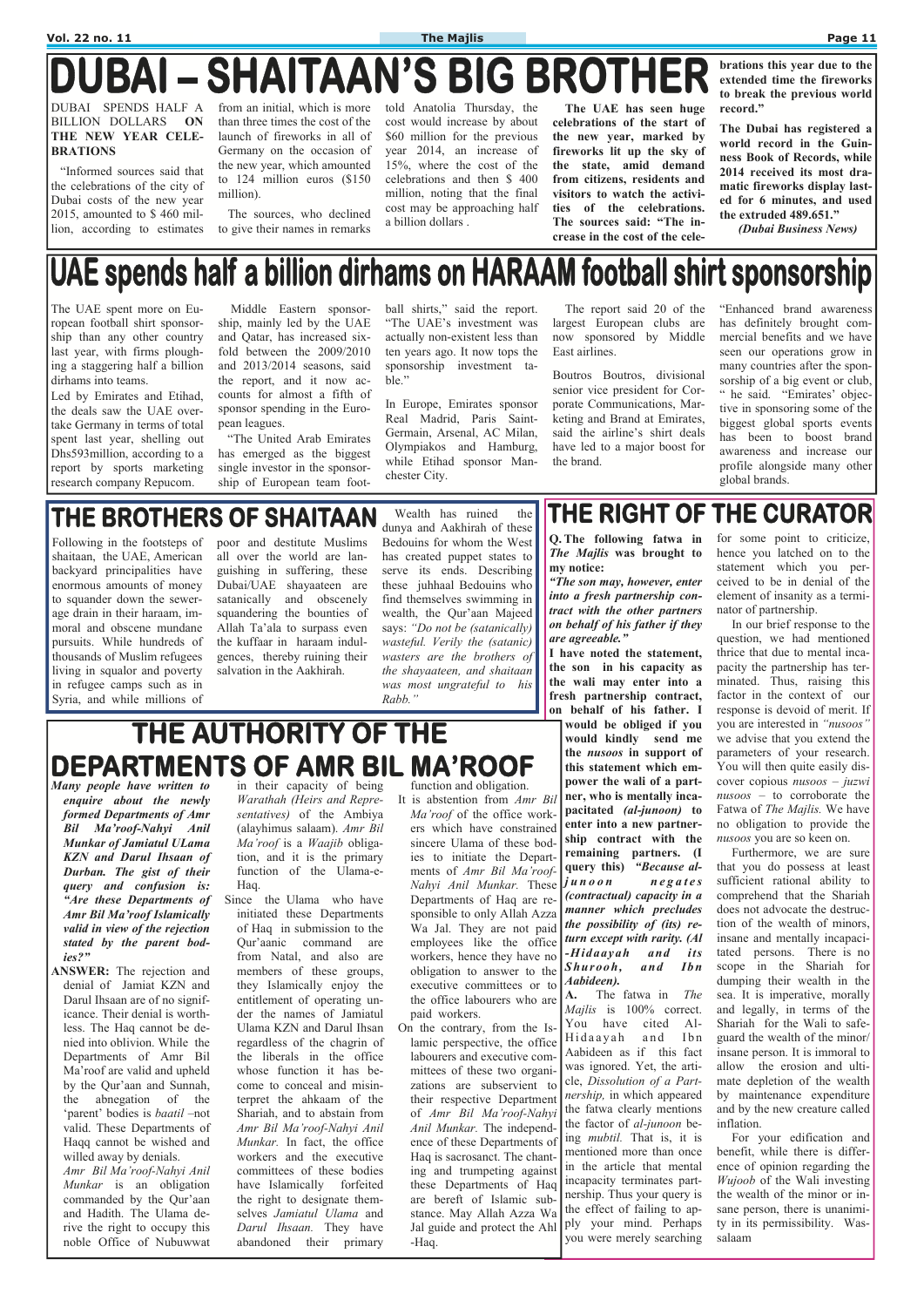# **DUBAI - SHAITAAN'S BIG BROTHER**

#### DUBAI SPENDS HALF A BILLION DOLLARS **ON THE NEW YEAR CELE-BRATIONS**

 "Informed sources said that the celebrations of the city of Dubai costs of the new year 2015, amounted to \$ 460 million, according to estimates from an initial, which is more than three times the cost of the launch of fireworks in all of Germany on the occasion of the new year, which amounted to 124 million euros (\$150 million).

 The sources, who declined to give their names in remarks told Anatolia Thursday, the cost would increase by about \$60 million for the previous year 2014, an increase of 15%, where the cost of the celebrations and then \$ 400 million, noting that the final cost may be approaching half a billion dollars .

 **The UAE has seen huge celebrations of the start of the new year, marked by fireworks lit up the sky of the state, amid demand from citizens, residents and visitors to watch the activities of the celebrations. The sources said: "The increase in the cost of the cele-** **brations this year due to the extended time the fireworks to break the previous world record."** 

**The Dubai has registered a world record in the Guinness Book of Records, while 2014 received its most dramatic fireworks display lasted for 6 minutes, and used the extruded 489.651."** 

 *(Dubai Business News)*

# UAE spends half a billion dirhams on HARAAM football shirt sponsorship

**Q. The following fatwa in**  *The Majlis* **was brought to my notice:** 

*"The son may, however, enter into a fresh partnership contract with the other partners on behalf of his father if they are agreeable."*

**I have noted the statement, the son in his capacity as the wali may enter into a fresh partnership contract, on behalf of his father. I would be obliged if you would kindly send me the** *nusoos* **in support of this statement which empower the wali of a partner, who is mentally incapacitated** *(al-junoon)* **to enter into a new partnership contract with the remaining partners. (I query this)** *"Because alj u n o o n n e g a t e s (contractual) capacity in a manner which precludes the possibility of (its) return except with rarity. (Al -Hidaayah and its* 

**A.** The fatwa in *The Majlis* is 100% correct. You have cited Al-Hidaayah and Ibn Aabideen as if this fact was ignored. Yet, the article, *Dissolution of a Partnership,* in which appeared the fatwa clearly mentions the factor of *al-junoon* being *mubtil.* That is, it is mentioned more than once in the article that mental incapacity terminates partnership. Thus your query is the effect of failing to apply your mind. Perhaps you were merely searching

for some point to criticize, hence you latched on to the statement which you perceived to be in denial of the element of insanity as a terminator of partnership.

 In our brief response to the question, we had mentioned thrice that due to mental incapacity the partnership has terminated. Thus, raising this factor in the context of our response is devoid of merit. If you are interested in *"nusoos"* we advise that you extend the parameters of your research. You will then quite easily discover copious *nusoos – juzwi nusoos –* to corroborate the Fatwa of *The Majlis.* We have no obligation to provide the *nusoos* you are so keen on.

 Furthermore, we are sure that you do possess at least sufficient rational ability to comprehend that the Shariah does not advocate the destruction of the wealth of minors, insane and mentally incapacitated persons. There is no scope in the Shariah for dumping their wealth in the sea. It is imperative, morally and legally, in terms of the Shariah for the Wali to safeguard the wealth of the minor/ insane person. It is immoral to allow the erosion and ultimate depletion of the wealth by maintenance expenditure and by the new creature called inflation. For your edification and benefit, while there is difference of opinion regarding the *Wujoob* of the Wali investing the wealth of the minor or insane person, there is unanimity in its permissibility. Wassalaam

# THE AUTHORITY OF THE **DEPARTMENTS OF AMR BIL MA'ROOF**

ball shirts," said the report. "The UAE's investment was actually non-existent less than ten years ago. It now tops the sponsorship investment table."

- *Many people have written to enquire about the newly formed Departments of Amr Bil Ma'roof-Nahyi Anil Munkar of Jamiatul ULama KZN and Darul Ihsaan of Durban. The gist of their query and confusion is: "Are these Departments of Amr Bil Ma'roof Islamically valid in view of the rejection stated by the parent bodies?"*
- **ANSWER:** The rejection and denial of Jamiat KZN and

*Shurooh, and Ibn*  obligation to answer to the *Aabideen).*  It is abstention from *Amr Bil Ma'roof* of the office workers which have constrained sincere Ulama of these bodies to initiate the Departments of *Amr Bil Ma'roof-Nahyi Anil Munkar.* These Departments of Haq are responsible to only Allah Azza Wa Jal. They are not paid employees like the office workers, hence they have no executive committees or to the office labourers who are paid workers. On the contrary, from the Islamic perspective, the office labourers and executive committees of these two organizations are subservient to their respective Department of *Amr Bil Ma'roof-Nahyi Anil Munkar.* The independence of these Departments of Haq is sacrosanct. The chanting and trumpeting against these Departments of Haq are bereft of Islamic substance. May Allah Azza Wa Jal guide and protect the Ahl -Haq.

Darul Ihsaan are of no significance. Their denial is worthless. The Haq cannot be denied into oblivion. While the Departments of Amr Bil Ma'roof are valid and upheld by the Qur'aan and Sunnah, the abnegation of the 'parent' bodies is *baatil* –not valid. These Departments of Haqq cannot be wished and willed away by denials. *Amr Bil Ma'roof-Nahyi Anil Munkar* is an obligation commanded by the Qur'aan and Hadith. The Ulama derive the right to occupy this

noble Office of Nubuwwat

in their capacity of being *Warathah (Heirs and Representatives)* of the Ambiya (alayhimus salaam). *Amr Bil Ma'roof* is a *Waajib* obligation, and it is the primary function of the Ulama-e-Haq.

Since the Ulama who have initiated these Departments of Haq in submission to the Qur'aanic command are from Natal, and also are members of these groups, they Islamically enjoy the entitlement of operating under the names of Jamiatul Ulama KZN and Darul Ihsan regardless of the chagrin of the liberals in the office whose function it has become to conceal and misinterpret the ahkaam of the Shariah, and to abstain from *Amr Bil Ma'roof-Nahyi Anil Munkar.* In fact, the office workers and the executive committees of these bodies have Islamically forfeited the right to designate themselves *Jamiatul Ulama* and *Darul Ihsaan.* They have abandoned their primary

function and obligation.

The UAE spent more on European football shirt sponsorship than any other country last year, with firms ploughing a staggering half a billion dirhams into teams.

Led by Emirates and Etihad, the deals saw the UAE overtake Germany in terms of total spent last year, shelling out Dhs593million, according to a report by sports marketing research company Repucom.

 Middle Eastern sponsorship, mainly led by the UAE and Qatar, has increased sixfold between the 2009/2010 and 2013/2014 seasons, said the report, and it now accounts for almost a fifth of sponsor spending in the European leagues.

 "The United Arab Emirates has emerged as the biggest single investor in the sponsorship of European team footIn Europe, Emirates sponsor Real Madrid, Paris Saint-Germain, Arsenal, AC Milan, Olympiakos and Hamburg, while Etihad sponsor Manchester City.

 The report said 20 of the largest European clubs are now sponsored by Middle East airlines.

Boutros Boutros, divisional senior vice president for Corporate Communications, Marketing and Brand at Emirates, said the airline's shirt deals have led to a major boost for the brand.

"Enhanced brand awareness has definitely brought commercial benefits and we have seen our operations grow in many countries after the sponsorship of a big event or club, " he said. "Emirates' objective in sponsoring some of the biggest global sports events has been to boost brand awareness and increase our profile alongside many other global brands.

# THE BROTHERS OF SHAITAAN

Following in the footsteps of shaitaan, the UAE, American backyard principalities have enormous amounts of money to squander down the sewerage drain in their haraam, immoral and obscene mundane pursuits. While hundreds of thousands of Muslim refugees living in squalor and poverty in refugee camps such as in Syria, and while millions of

poor and destitute Muslims all over the world are languishing in suffering, these Dubai/UAE shayaateen are satanically and obscenely squandering the bounties of Allah Ta'ala to surpass even the kuffaar in haraam indulgences, thereby ruining their salvation in the Aakhirah.

 Wealth has ruined the dunya and Aakhirah of these Bedouins for whom the West has created puppet states to serve its ends. Describing these juhhaal Bedouins who find themselves swimming in wealth, the Qur'aan Majeed says: *"Do not be (satanically) wasteful. Verily the (satanic) wasters are the brothers of the shayaateen, and shaitaan was most ungrateful to his Rabb."* 

## THE RIGHT OF THE CURATOR